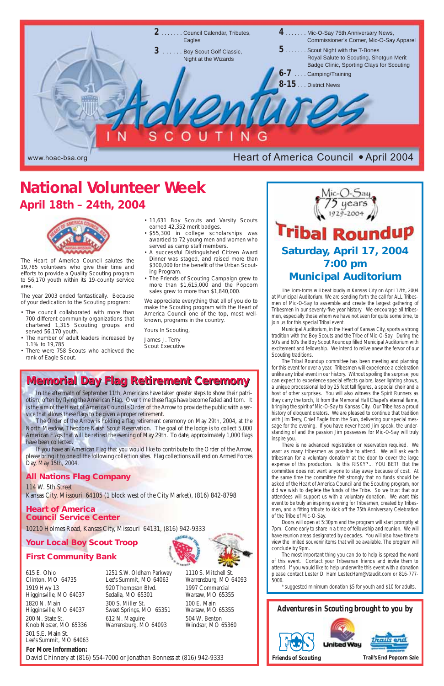





In the aftermath of September 11th, Americans have taken greater steps to show their patriotism, often by flying the American Flag. Over time these flags have become faded and torn. It is the aim of the Heart of America Council's Order of the Arrow to provide the public with a service that allows these flags to be given a proper retirement.

The Tom-toms will beat loudly in Kansas City on April 17th, 2004 at Municipal Auditorium. We are sending forth the call for ALL Tribesmen of Mic-O-Say to assemble and create the largest gathering of Tribesmen in our seventy-five year history. We encourage all tribesmen, especially those whom we have not seen for quite some time, to join us for this special Tribal event.

The Order of the Arrow is holding a flag retirement ceremony on May 29th, 2004, at the North Meadow, Theodore Naish Scout Reservation. The goal of the lodge is to collect 5,000 American Flags that will be retired the evening of May 29th. To date, approximately 1,000 flags have been collected.

If you have an American Flag that you would like to contribute to the Order of the Arrow, please bring it to one of the following collection sites. Flag collections will end on Armed Forces Day, May 15th, 2004.

## **All Nations Flag Company**

114 W. 5th Street

Kansas City, Missouri 64105 (1 block west of the City Market), (816) 842-8798



#### **Heart of America Council Service Center**

10210 Holmes Road, Kansas City, Missouri 64131, (816) 942-9333

## **Your Local Boy Scout Troop**

#### **First Community Bank**

Municipal Auditorium, in the Heart of Kansas City, sports a strong tradition with the Boy Scouts and the Tribe of Mic-O-Say. During the 50's and 60's the Boy Scout Roundup filled Municipal Auditorium with excitement and fellowship. We intend to relive anew the fervor of our Scouting traditions.

The Tribal Roundup committee has been meeting and planning for this event for over a year. Tribesmen will experience a celebration unlike any tribal event in our history. Without spoiling the surprise, you can expect to experience special effects galore, laser lighting shows, a unique processional led by 25 feet tall figures, a special choir and a host of other surprises. You will also witness the Spirit Runners as they carry the torch, lit from the Memorial Hall Chapel's eternal flame, bringing the spirit of Mic-O-Say to Kansas City. Our Tribe has a proud history of eloquent orators. We are pleased to continue that tradition with Jim Terry, Chief Eagle from the Sun, delivering our special message for the evening. If you have never heard Jim speak, the understanding of and the passion Jim possesses for Mic-O-Say will truly inspire you.

There is no advanced registration or reservation required. We want as many tribesmen as possible to attend. We will ask each tribesman for a voluntary donation\* at the door to cover the large expense of this production. Is this RISKY?… YOU BET! But the committee does not want anyone to stay away because of cost. At the same time the committee felt strongly that no funds should be asked of the Heart of America Council and the Scouting program, nor did we wish to deplete the funds of the Tribe. So we trust that our attendees will support us with a voluntary donation. We want this event to be truly an inspiring evening for Tribesmen, created by Tribesmen, and a fitting tribute to kick off the 75th Anniversary Celebration of the Tribe of Mic-O-Say. Doors will open at 5:30pm and the program will start promptly at 7pm. Come early to share in a time of fellowship and reunion. We will have reunion areas designated by decades. You will also have time to view the limited souvenir items that will be available. The program will conclude by 9pm. The most important thing you can do to help is spread the word of this event. Contact your Tribesman friends and invite them to attend. If you would like to help underwrite this event with a donation please contact Lester D. Ham Lester.Ham@vtaudit.com or 816-777- 5006.

The Heart of America Council salutes the 19,785 volunteers who give their time and efforts to provide a Quality Scouting program to 56,170 youth within its 19-county service area.

The year 2003 ended fantastically. Because of your dedication to the Scouting program:

- The council collaborated with more than 700 different community organizations that chartered 1,315 Scouting groups and served 56,170 youth.
- The number of adult leaders increased by 1.1% to 19,785
- There were 758 Scouts who achieved the rank of Eagle Scout.
- 11,631 Boy Scouts and Varsity Scouts earned 42,352 merit badges.
- \$55,300 in college scholarships was awarded to 72 young men and women who served as camp staff members.
- A successful Distinguished Citizen Award Dinner was staged, and raised more than \$300,000 for the benefit of the Urban Scouting Program.
- The Friends of Scouting Campaign grew to more than \$1,615,000 and the Popcorn sales grew to more than \$1,840,000.

We appreciate everything that all of you do to make the Scouting program with the Heart of America Council one of the top, most wellknown, programs in the country.

Yours In Scouting,

James J. Terry Scout Executive

**For More Information:** 

David Chinnery at (816) 554-7000 or Jonathan Bonness at (816) 942-9333

615 E. Ohio Clinton, MO 64735 1919 Hwy 13 Higginsville, MO 64037 1820 N. Main Higginsville, MO 64037 200 N. State St. Knob Noster, MO 65336 301 S.E. Main St. Lee's Summit, MO 64063 1251 S.W. Oldham Parkway Lee's Summit, MO 64063

920 Thompson Blvd. Sedalia, MO 65301

300 S. Miller St. Sweet Springs, MO 65351 612 N. Maguire Warrensburg, MO 64093

1110 S. Mitchell St. Warrensburg, MO 64093 1997 Commercial Warsaw, MO 65355 100 E. Main

Warsaw, MO 65355 504 W. Benton Windsor, MO 65360 suggested minimum donation \$5 for youth and \$10 for adults.

# **Memorial Day Flag Retirement Ceremony Memorial Day Flag Retirement Ceremony**

# **Saturday, April 17, 2004 7:00 pm Municipal Auditorium**

# **National Volunteer Week April 18th – 24th, 2004**

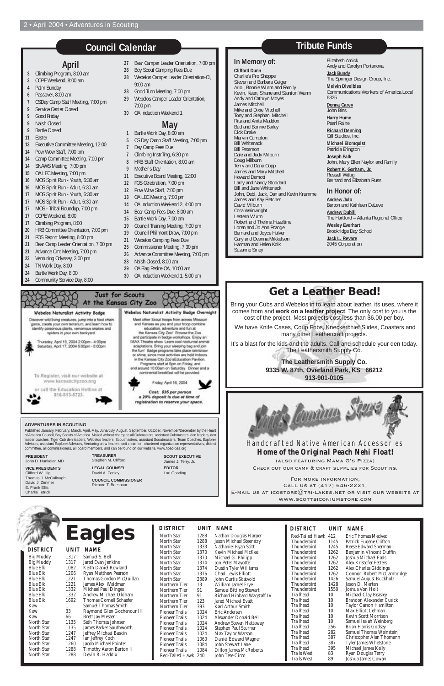| North Star<br>1288<br>Nathan Douglas Harper<br>Red-Tailed Hawk 412<br>Jason Michael Steenstry<br>1288<br>North Star<br>1145<br>Thunderbird<br>Nathaniel Ryan Stitt<br>North Star<br>1333<br>Thunderbird<br>1245<br>Kevin Michael McKee<br>North Star<br>1370<br>1262<br><b>Thunderbird</b><br>Michael G. Philipp<br>North Star<br>1370<br><b>Thunderbird</b><br>1262<br>Thunderbird<br>1262<br>North Star<br>1374<br>Jon Peter Mayotte<br>Dustin Tyler Williams<br><b>Thunderbird</b><br>1262<br>North Star<br>1374<br>Thunderbird<br>1262<br>Chad Lewis Elliott<br>North Star<br>1376<br><b>Thunderbird</b><br>1426<br>North Star<br>John Curtis Skatvold<br>2389<br>1428<br>Thunderbird<br>Northern Tier<br>13<br>William James Frye<br>1550<br><b>Thunderbird</b><br><b>Samuel Bitting Stewart</b><br>Northern Tier<br>91<br>Trailhead<br>10<br>Richard Hibbard Wagstaff IV<br>91<br>Northern Tier<br>Trailhead<br>10<br>123<br>Jared Michael Evatt<br>Northern Tier<br>Trailhead<br>10<br>393<br>Northern Tier<br>Karl Arthur Smith<br>Trailhead<br>10<br>Pioneer Trails<br>1024<br>Eric Andersen<br>Trailhead<br>10<br><b>Pioneer Trails</b><br>1024<br>Alexander Donald Bell<br>Trailhead<br>10<br><b>Pioneer Trails</b><br>1024<br>Andrew Steven Hattaway<br>Trailhead<br>256<br><b>Pioneer Trails</b><br>1024<br>Stephen Paul Sturner<br>Trailhead<br>282<br>Max Taylor Watson<br>1024<br><b>Pioneer Trails</b><br>Trailhead<br>387<br>Daniel Edward Wagner<br>1060<br><b>Pioneer Trails</b><br>Trailhead<br>387<br>1084<br>John Stewart Lane<br><b>Pioneer Trails</b><br>Trailhead<br>395<br>1084<br><b>Pioneer Trails</b><br><b>Dillon James McRoberts</b><br><b>Trails West</b><br>83<br>Red-Tailed Hawk 240<br>John Tere Circo<br><b>Trails West</b><br>89<br>Joshua Ja | <b>DISTRICT</b> | UNIT NAME | <b>DISTRICT</b> | UNIT NAME                                                                                                                                                                                                                                                                                      |
|-------------------------------------------------------------------------------------------------------------------------------------------------------------------------------------------------------------------------------------------------------------------------------------------------------------------------------------------------------------------------------------------------------------------------------------------------------------------------------------------------------------------------------------------------------------------------------------------------------------------------------------------------------------------------------------------------------------------------------------------------------------------------------------------------------------------------------------------------------------------------------------------------------------------------------------------------------------------------------------------------------------------------------------------------------------------------------------------------------------------------------------------------------------------------------------------------------------------------------------------------------------------------------------------------------------------------------------------------------------------------------------------------------------------------------------------------------------------------------------------------------------------------------------------------------------------------------------------------------------------------------------------------------------------------------------------------------------------------------------------------------------------------------------|-----------------|-----------|-----------------|------------------------------------------------------------------------------------------------------------------------------------------------------------------------------------------------------------------------------------------------------------------------------------------------|
|                                                                                                                                                                                                                                                                                                                                                                                                                                                                                                                                                                                                                                                                                                                                                                                                                                                                                                                                                                                                                                                                                                                                                                                                                                                                                                                                                                                                                                                                                                                                                                                                                                                                                                                                                                                     |                 |           |                 | Eric Tho<br>Patrick E<br>Reese Ed<br>Benjamir<br>Joshua M<br>Alex Kris<br>Alex Cha<br>Connor<br>Samuel A<br>Jason D.<br>Joshua Vo<br>Michael (<br><b>Brandon</b><br>Taylor Ca<br>Max Ellio<br>Kevin Sco<br>Samuel Is<br>Brian Ha<br>Samuel T<br>Christopl<br>Tyler Jam<br>Michael J<br>Ryan Do |

| <b>DISTRICT</b>     |      | UNIT NAME                      |
|---------------------|------|--------------------------------|
| Red-Tailed Hawk 412 |      | Eric Thomas Medved             |
| Thunderbird         | 1145 | Patrick Eugene Clifton         |
| Thunderbird         | 1245 | Reese Edward Sherman           |
| Thunderbird         | 1262 | Benjamin Vincent Duffin        |
| Thunderbird         | 1262 | Joshua Michael Eads            |
| Thunderbird         | 1262 | Alex Kristofer Fetters         |
| Thunderbird         | 1262 | Alex Charles Giddings          |
| Thunderbird         | 1262 | Connor Robert McCambridge      |
| Thunderbird         | 1426 | Samuel August Buckholz         |
| Thunderbird         | 1428 | Jason D. Merten                |
| Thunderbird         | 1550 | Joshua Von Holt                |
| Trailhead           | 10   | Michael Clay Beasley           |
| Trailhead           | 10   | Brandon Alexander Cusick       |
| Trailhead           | 10   | <b>Taylor Carson Hamilton</b>  |
| Trailhead           | 10   | Max Elliott Lehman             |
| Trailhead           | 10   | Kevin Scott Morrison           |
| Trailhead           | 10   | Samuel Isaiah Weinberg         |
| Trailhead           | 256  | Brian Harris Godsey            |
| Trailhead           | 282  | <b>Samuel Thomas Weinstein</b> |
| Trailhead           | 387  | Christopher Alan Thomann       |
| Trailhead           | 387  | Tyler James Whetstone          |
| Trailhead           | 395  | Michael James Kelly            |
| Trails West         | 83   | Ryan Douglas Terry             |
| <b>Trails West</b>  | 89   | Joshua James Cowan             |

|                  |      |                                | <b>DISTI</b>  |
|------------------|------|--------------------------------|---------------|
|                  |      | <b>Eagles</b>                  | North         |
|                  |      |                                | North.        |
| <b>DISTRICT</b>  |      | <b>UNIT NAME</b>               | North         |
|                  |      |                                | North         |
| <b>Big Muddy</b> | 1317 | Samuel S. Bell                 | North         |
| <b>Big Muddy</b> | 1317 | Jared Evan Jenkins             | North         |
| <b>Blue Elk</b>  | 1082 | Keith Daniel Rowland           | <b>North</b>  |
| <b>Blue Elk</b>  | 1206 | <b>Ryan Matthew Pearson</b>    | North         |
| <b>Blue Elk</b>  | 1221 | Thomas Gordon McQuillan        | <b>North</b>  |
| <b>Blue Elk</b>  | 1221 | James Alex Waldman             | Northe        |
| <b>Blue Elk</b>  | 1332 | <b>Michael Paul Dinges</b>     | Northe        |
| <b>Blue Elk</b>  | 1332 | Andrew Michael Oldham          | Northe        |
| <b>Blue Elk</b>  | 1692 | Thomas Cornell Schaefer        | Northe        |
| Kaw              | 1    | <b>Samuel Thomas Smith</b>     | Northe        |
| Kaw              | 33   | Raymond Glen Gochenour III     | <b>Pionee</b> |
| Kaw              | 66   | <b>Brett Jay Messer</b>        | Pionee:       |
| North Star       | 1135 | Seth Thomas Johnsen            | Pionee:       |
| North Star       | 1135 | <b>James Parker Southworth</b> | <b>Pionee</b> |
| North Star       | 1247 | Jeffrey Michael Baskin         | <b>Pionee</b> |
| North Star       | 1247 | Ian Jeffrey Koch               | Pionee:       |
| North Star       | 1260 | Jacob Michael Pointer          | Pionee:       |
| North Star       | 1288 | Timothy Aaron Barton II        | <b>Pionee</b> |
| North Star       | 1288 | Devin R. Haddix                | Red-Ta        |
|                  |      |                                |               |

## **April**

- **3** Climbing Program, 8:00 am
- **3** COPE Weekend, 8:00 am
- **4** Palm Sunday
- **6** Passover, 8:00 am
- **7** CSDay Camp Staff Meeting, 7:00 pm **9** Service Center Closed
- **9** Good Friday
- **9** Naish Closed
- **9** Bartle Closed
- **11** Easter
- **13** Executive Committee Meeting, 12:00
- **14** Pow Wow Staff, 7:00 pm
- **14** Camp Committee Meeting, 7:00 pm
- **14** SNAWS Meeting, 7:00 pm
- **15** OA LEC Meeting, 7:00 pm
- **16** MOS Spirit Run Youth, 6:30 am
- **16** MOS Spirit Run Adult, 6:30 am
- **17** MOS Spirit Run Youth, 6:30 am
- **17** MOS Spirit Run Adult, 6:30 am
- **17** MOS Tribal Roundup, 7:00 pm
- **17** COPE Weekend, 8:00
- **17** Climbing Program, 8:00
- **20** HRB Committee Orientation, 7:00 pm
- **21** FOS Report Meeting, 6:00 pm
- **21** Bear Camp Leader Orientation, 7:00 pm
- **21** Advance Cmt Meeting, 7:00 pm
- **23** Venturing Odyssey, 3:00 pm
- **24** TN Work Day, 8:00
- **24** Bartle Work Day, 8:00
- **24** Community Service Day, 8:00
- **27** Bear Camper Leader Orientation, 7:00 pm
- **28** Boy Scout Camping Fees Due
- **28** Webelos Camper Leader Orientation-Cl, 9:00 am
- **28** Good Turn Meeting, 7:00 pm
- **29** Webelos Camper Leader Orientation, 7:00 pm
- **30** OA Induction Weekend 1

(also featuring Mama G's Pizza) CHECK OUT OUR CAMP & CRAFT SUPPLIES FOR SCOUTING.

#### **May**

- **1** Bartle Work Day, 8:00 am
- **5** CS Day Camp Staff Meeting, 7:00 pm
- **7** Day Camp Fees Due
- **7** Climbing InstrTrrg, 6:30 pm
- **8** HRB Staff Orientation, 8:00 am
- **9** Mother's Day
- **11** Executive Board Meeting, 12:00
- **12** FOS Celebration, 7:00 pm
- **12** Pow Wow Staff, 7:00 pm
- **13** OA LEC Meeting, 7:00 pm
- **14** OA Induction Weekend 2, 4:00 pm
- **14** Bear Camp Fees Due, 8:00 am
- **15** Bartle Work Day, 7:00 am
- **19** Council Training Meeting, 7:00 pm
- **19** Council Philmont Draw, 7:00 pm
- **21** Webelos Camping Fees Due
- **25** Commissioner Meeting, 7:30 pm
- **26** Advance Committee Meeting, 7:00 pm
- **28** Naish Closed, 8:00 am
- **29** OA Flag Retire-OA, 10:00 am
- **30** OA Induction Weekend 1, 5:00 pm



# **Council Calendar**

**In Memory of: Clifford Dunn** Charlie's Pro Shoppe Steven and Barbara Geiger Arlo , Bonnie Wurm and Family Kevin, Keen, Shane and Stanton Wurm

Andy and Cathryn Moyes James Mitchell Mike and Dixie Mitchell Tony and Stephani Mitchell Rita and Anita Maddox Bud and Bonnie Bailey

Dick Drake Marvin Cumpton Bill Whitenack Bill Peterson

Dale and Judy Milburn Doug Milburn Terry and Dana Copp James and Mary Mitchell Howard Demott

Larry and Nancy Stoddard Bill and Jane Whitenack

John, Debi, Jack, Dan and Kevin Krumme

James and Kay Fletcher

David Milburn Cora Wainwright Lestern Wurm Robert and Thelma Hazeltine Loren and Jo Ann Prange

Bernard and Joyce Halver Gary and Deanna Mikkelson Harman and Helen Kolk Suzanne Siney

Elizabeth Amick Andy and Carolyn Portanova

**Jack Bundy** The Springer Design Group, Inc.

**Melvin Divelbiss** Communications Workers of America Local 6325

**Donna Carey** John Bins

**Harry Hume** Pearl Raine

**Richard Denning** Gill Studios, Inc.

**Michael Blomquist** Patricia Erington

**Joseph Falk** John, Mary Ellen Naylor and Family **Robert K. Gorham, Jr.** Russell Wittig Bernard and Elizabeth Russ

#### **In Honor of:**

**Andrew Julo** Barton and Kathleen DeLeve

**Andrew Dubill** The Hartford – Atlanta Regional Office

**Wesley Everhart** Brookridge Day School **Jack L. Revare** 2045 Corporation

# **Tribute Funds**

# **Get a Leather Bead!**

Bring your Cubs and Webelos in to learn about leather, its uses, where it comes from and **work on a leather project**. The only cost to you is the cost of the project. Most projects cost less than \$6.00 per boy.

We have Knife Cases, Coup Fobs, Kneckerchief Slides, Coasters and many other Leathercraft projects.

It's a blast for the kids and the adults. Call and schedule your den today. The Leathersmith Supply Co.

> **The Leathersmith Supply Co. 9335 W. 87th, Overland Park, KS 66212 913-901-0105**



#### **ADVENTURES IN SCOUTING**

Published January, February, March, April, May, June/July, August, September, October, November/December by the Heart of America Council, Boy Scouts of America. Mailed without charge to all Cubmasters, assistant Cubmasters, den leaders, den leader coaches, Tiger Cub den leaders, Webelos leaders, Scoutmasters, assistant Scoutmasters, Team Coaches, Explorer Advisors, assistant Explorer Advisors, Venturing crew leaders, unit chairmen, chartered organization representatives, district committee, all commissioners, all board members, and can be found on our website, www.hoac-bsa.org

> **TREASURER** Stephen M. Clifford **LEGAL COUNSEL** David A. Fenley **COUNCIL COMMISSIONER**

> > Richard T. Boeshaar

**SCOUT EXECUTIVE** James J. Terry, Jr. **EDITOR** Lori Gooding

**PRESIDENT** John D. Hunkeler, MD

**VICE PRESIDENTS** Clifford W. Illig Thomas J. McCullough David J. Zimmer E. Frank Ellis

Charlie Tetrick

Handcrafted Native American Accessories *Home of the O ome of the Original P riginal Peach Nehi Float!*

For more information, Call us at (417) 646-2221, E-MAIL US AT ICOSTORE $@$ TRI-LAKES.NET OR VISIT OUR WEBSITE AT www.scottsiconiumstore.com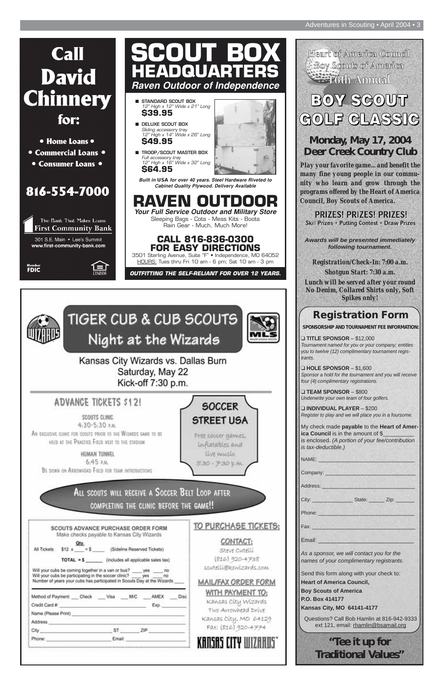# **Call David Chinnery** for:

- Home Loans •
- Commercial Loans •
- Consumer Loans •







# **Registration Form**

**SPONSORSHIP AND TOURNAMENT FEE INFORMATION:**

❑ **TITLE SPONSOR** – \$12,000 *Tournament named for you or your company; entitles you to twelve (12) complimentary tournament registrants.*

❑ **HOLE SPONSOR** – \$1,600 *Sponsor a hold for the tournament and you will receive four (4) complimentary registrations.*

❑ **TEAM SPONSOR** – \$800 *Underwrite your own team of four golfers.*

❑ **INDIVIDUAL PLAYER** – \$200 *Register to play and we will place you in a foursome.*

My check made **payable** to the **Heart of America Council** is in the amount of \$ is enclosed. *(A portion of your fee/contribution is tax-deductible.)*

NAME:

Company:

Address:

|                                                                                                                                                                                                                                                                  | SCOUTS ADVANCE PURCHASE ORDER FORM                                                    |                                     | TO PURCHASE TICKETS:                                                                                   |
|------------------------------------------------------------------------------------------------------------------------------------------------------------------------------------------------------------------------------------------------------------------|---------------------------------------------------------------------------------------|-------------------------------------|--------------------------------------------------------------------------------------------------------|
| Qty.<br>All Tickets<br>$TOTAL = $$<br>Will your cubs be coming together in a van or bus? ____ yes ____ no<br>Will your cubs be participating in the soccer clinic? _____ yes _____ no<br>Number of years your cubs has participated in Scouts Day at the Wizards | Make checks payable to Kansas City Wizards<br>$$12 x = $$ (Sideline Reserved Tickets) | (includes all applicable sales tax) | CONTACT:<br>Steve Cutelli<br>(816) 920-4738<br>scutelli@kowizards.com<br><b>MAIL/FAX ORDER FORM</b>    |
| Method of Payment: Check Visa M/C<br>Credit Card #:<br>Name (Please Print)<br>Address                                                                                                                                                                            |                                                                                       | AMEX<br>Exp.                        | WITH PAYMENT TO:<br><b>Disc</b><br>Kansas City Wizards<br>Two Arrowhead Drive<br>Kansas City, MO 64129 |
| City                                                                                                                                                                                                                                                             | ST ZIP                                                                                |                                     | FAX: (816) 920-4774                                                                                    |
|                                                                                                                                                                                                                                                                  | Email:                                                                                |                                     |                                                                                                        |

| City:<br>State: Zip:                                                                  |  |
|---------------------------------------------------------------------------------------|--|
| Phone:                                                                                |  |
| Fax:                                                                                  |  |
| Email:                                                                                |  |
| As a sponsor, we will contact you for the<br>names of your complimentary registrants. |  |
| Send this form along with your check to:                                              |  |
| <b>Heart of America Council,</b>                                                      |  |
| <b>Boy Scouts of America</b>                                                          |  |
| P.O. Box 414177                                                                       |  |
| <b>Kansas City, MO 64141-4177</b>                                                     |  |
| Questions? Call Bob Hamlin at 816-942-9333<br>ext 121, email: rhamlin@bsamail.org     |  |
| "Tee it up for                                                                        |  |

**Traditional Values"**

# **Monday, May 17, 2004 Deer Creek Country Club**

*Play your favorite game... and benefit the many fine young people in our community who learn and grow through the programs offered by the Heart of America Council, Boy Scouts of America.*

**PRIZES! PRIZES! PRIZES! Skill Prizes • Putting Contest • Draw Prizes** 

*Awards will be presented immediately following tournament.*

*Registration/Check-In: 7:00 a.m. Shotgun Start: 7:30 a.m. Lunch will be served after your round No Denim, Collared Shirts only, Soft Spikes only!*

# **RAVEN OUTDOOR** *Your Full Service Outdoor and Military Store*

Sleeping Bags - Cots - Mess Kits - Boots Rain Gear - Much, Much More!

#### **CALL 816-836-0300 FOR EASY DIRECTIONS**



3501 Sterling Avenue, Suite "F" • Independence, MO 64052 HOURS: Tues thru Fri 10 am - 6 pm; Sat 10 am - 3 pm

*OUTFITTING THE SELF-RELIANT FOR OVER 12 YEARS.*



**TIGER CUB & CUB SCOUTS** Night at the Wizards



Kansas City Wizards vs. Dallas Burn Saturday, May 22 Kick-off 7:30 p.m.

# **ADVANCE TICKETS \$12!**

ίΞi

SCOUTS CLINIC 4:30-5:30 р.м. AN EXCLUSIVE CLINIC FOR SCOUTS PRIOR TO THE WIZARDS GAME TO BE HELD AT THE PRACTICE FIELD NEXT TO THE STADIUM

HUMAN TUNNEL  $6:45$  P.M. BE DOWN ON ARROWHEAD FIELD FOR TEAM INTRODUCTIONS

**SOCCER STREET USA** Free soccer games. Inflatables and live music 5:30 - 7:30 p.m.

All scouts will receive a Soccer Belt Loop after

Heart of America Council Boy Scouts of America **EFFICITE:** 16th Annual

# **BOY SGOUT** GOLF GLASSIG

- 12" High x 12" Wide x 21" Long **\$39.95**
- **DELUXE SCOUT BOX** Sliding accessory tray 12" High x 14" Wide x 26" Long **\$49.95**
- **TROOP/SCOUT MASTER BOX** Full accessory tray 12" High x 16" Wide x 32" Long **\$64.95**

*Built in* **USA** *for over 40 years. Steel Hardware Riveted to Cabinet Quality Plywood. Delivery Available*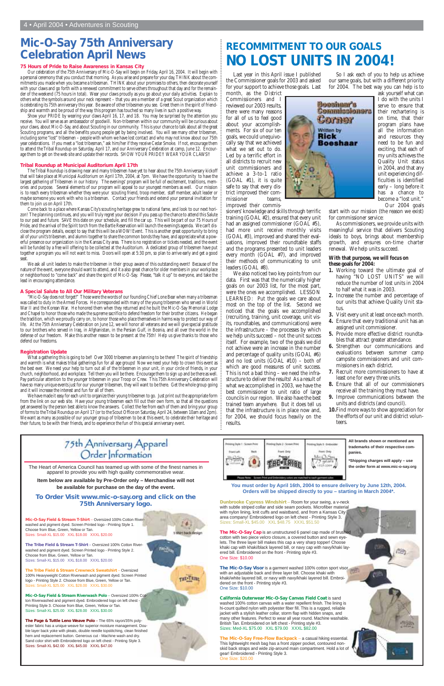# **RECOMMITMENT TO OUR GOALS NO LOST UNITS IN 2004!**

Last year in this April issue I published the Commissioner goals for 2003 and asked for your support to achieve those goals. Last month, as the District

Commissioners and I reviewed our 2003 results, there were many reasons for all of us to feel good about your accomplishments. For six of our ten goals, we could unequivocally say that we achieved what we set out to do. Led by a terrific effort in all districts to recruit new unit commissioners and achieve a 3-to-1 ratio (GOAL #1), it is quite safe to say that every district improved their commissioner teams, improved their commis-

sioners' knowledge and skills through terrific training (GOAL #2), ensured that every unit had an assigned commissioner (GOAL #5), had more unit receive monthly visits (GOAL #3), improved and shared their evaluations, improved their roundtable staffs and the programs presented to unit leaders every month (GOAL #7), and improved their methods of communicating to unit leaders (GOAL #8).

We also noticed two key points from our data. First was that the numerically higher goals on our 2003 list, for the most part, were the ones we accomplished. LESSON LEARNED: Put the goals we care about most on the top of the list. Second we noticed that the goals we accomplished (recruiting, training, unit coverage, unit visits, roundtables, and communications) were the infrastructure – the processes by which we help units succeed – not the unit success itself. For example, two of the goals we did not achieve were an increase in the number and percentage of quality units (GOAL #6) and no lost units (GOAL #10) – both of which are good measures of unit success. This is not a bad thing – we need the infrastructure to deliver the results! As a result of what we accomplished in 2003, we have the best commissioner to unit ratio of large councils in our region. We also have the best trained team anywhere. But it does tell us that the infrastructure is in place now and, for 2004, we should focus heavily on the results.

So I ask each of you to help us achieve our same goals, but with a different priority for 2004. The best way you can help is to



Show your PRIDE by wearing your claws April 16, 17, and 18. You may be surprised by the attention you receive. You will serve as an ambassador of goodwill. Non-tribesmen within our community will be curious about your claws, about Mic-O-Say, and about Scouting in our community. This is your chance to talk about all the great Scouting programs, and all the benefits young people get by being involved. You will see many other tribesmen, including some "lost" tribesmen – people with whom we have lost contact and who may not know about our 75th year celebrations. If you meet a "lost tribesman," ask him/her if they receive Cedar Smoke. If not, encourage them to attend the Tribal Roundup on Saturday, April 17, and our Anniversary Celebration at camp, June 12. Encourage them to get on the web site and update their records. SHOW YOUR PRIDE!! WEAR YOUR CLAWS!!

ask yourself what can I do with the units I serve to ensure that their rechartering is on time, that their program plans have all the information and resources they need to be fun and exciting, that each of my units achieves the Quality Unit status in 2004, and that any unit experiencing difficulties is identified early – long before it has a chance to become a "lost unit." Our 2004 goals

start with our mission (the reason we exist) for commissioner service:

As commissioners, we provide units with meaningful service that delivers Scouting ideals to boys, brings about membership growth, and ensures on-time charter renewal. We help units succeed.

#### **With that purpose, we will focus on these goals for 2004:**

Come back to a place where Kansas City's scouting heritage grew to national fame, and look to our next horizon! The planning continues, and you will truly regret your decision if you pass up the chance to attend this Salute to our past and future. SAVE this date on your schedule, and fill the car up. This will be part of our 75 Hours of Pride, and the arrival of the Spirit torch from the Bartle Reservation will launch the evening's agenda. We can't disclose the program details, except to say that this will be a WOW! Event. This is another great opportunity to bring all of your unit's tribesmen, and alumni together to share the common bonds they have, and appreciate what a powerful presence our organization is in the Kansas City area. There is no registration or tickets needed, and the event will be funded by a free will offering to be collected at the Auditorium. A dedicated group of tribesmen have put together a program you will not want to miss. Doors will open at 5:30 pm, so plan to arrive early and get a good seat

- **1.** Working toward the ultimate goal of having "NO LOST UNITS" we will reduce the number of lost units in 2004 to half what it was in 2003.
- **2.** Increase the number and percentage of our units that achieve Quality Unit status.
- **3.** Visit every unit at least once each month.
- **4.** Ensure that every traditional unit has an assigned unit commissioner.
- **5.** Provide more effective district roundtables that attract greater attendance.
- **6.** Strengthen our communications and evaluations between summer camp campsite commissioners and unit commissioners in each district.
- **7.** Recruit more commissioners to have at least one for every three units.
- **8.** Ensure that all of our commissioners receive all the training they must have.
- **9.** Improve communications between the units and districts (and council).
- **10.**Find more ways to show appreciation for the efforts of our unit and district volunteers.

# **Mic-O-Say 75th Anniversary Celebration April News**

#### **75 Hours of Pride to Raise Awareness in Kansas City**

Our celebration of the 75th Anniversary of Mic-O-Say will begin on Friday, April 16, 2004. It will begin with a personal ceremony that you conduct that morning. As you arise and prepare for your day, THINK about the commitments you made when you became a tribesman. THINK about your promises to others, then decorate yourself with your claws and go forth with a renewed commitment to serve others throughout that day and for the remainder of the weekend (75 hours in total). Wear your claws proudly as you go about your daily activities. Explain to others what the symbols around your neck represent – that you are a member of a great Scout organization which is celebrating its 75th anniversary this year. Be aware of other tribesmen you see. Greet them in the spirit of friendship and warmth and be proud of the way this program has touched so many lives in such a positive way.

#### **Tribal Roundup at Municipal Auditorium April 17th**

The Tribal Roundup is drawing near and many tribesmen have yet to hear about the 75th Anniversary kickoff that will take place at Municipal Auditorium on April 17th, 2004, at 7pm. We have the opportunity to have the largest gathering of Tribesmen in our history. The evenings' program will be full of excitement, traditions, memories and purpose. Several elements of our program will appeal to our youngest members as well. Our mission is to reach every tribesman whether they were your scouting friend, troop member, staff member, adult leader or maybe someone you work with who is a tribesman. Contact your friends and extend your personal invitation for them to join us on April 17th.

> **The Mic-O-Say Visor is a garment washed 100% cotton sport visor** with an adjustable back and three layer bill. Choose khaki with khaki/white layered bill, or navy with navy/khaki layered bill. Embroidered on the front - Printing style #3. One Size: \$10.00

We ask all unit leaders to make the tribesmen in their group aware of this outstanding event! Because of the nature of the event, everyone should want to attend, and it a also great chance for older members in your workplace or neighborhood to "come back" and share the spirit of Mic-O-Say. Please, "talk it up" to everyone, and take the lead in encouraging attendance.

#### **A Special Salute to All Our Military Veterans**

"Mic-O-Say does not forget!" Those were the words of our founding Chief Lone Bear when many a tribesman was called to duty in the Armed Forces. He corresponded with many of the young tribesmen who served in World War II and the Korean War. He honored them when they returned and he built the Mic-O-Say Memorial Lodge and Chapel to honor those who made the supreme sacrifice to defend freedom for their brother citizens. He began the tradition, which we proudly carry on, to honor those who place themselves in harms way to protect our way of life. At the 75th Anniversary Celebration on June 12, we will honor all veterans and we will give special gratitude to our brothers who served in Iraq, in Afghanistan, in the Persian Gulf, in Bosnia, and all over the world in the defense of our freedom. Make this another reason to be present at the 75th! Help us give thanks to those who defend our freedoms.

#### **Registration Update**

What a gathering this is going to be!! Over 3000 tribesmen are planning to be there! The spirit of friendship and warmth is what makes tribal gatherings fun for all age groups! Now we need your help to crown this event as the best ever. We need your help to turn out all of the tribesmen in your unit, in your circle of friends, in your church, neighborhood, and workplace. Tell them you will be there. Encourage them to sign up and be there as well. Pay particular attention to the younger tribesmen in your Troop or Crew. This 75th Anniversary Celebration will have so many unique events just for our younger tribesmen, they will want to be there. Get the whole group going and it will increase the interest and fun for all of them.

We have made it easy for each unit to organize their young tribesmen to go. Just print out the appropriate form from the link on our web site. Have your young tribesmen each fill out their own form, so that all the questions get answered by the person best able to know the answers. Collect the fee from each of them and bring your group of forms to the Tribal Roundup on April 17 (or to the Scout Office on Saturday, April 24, between 10am and 2pm). We want as many as possible of our younger group of tribesmen to be at this event, to celebrate their heritage and their future, to be with their friends, and to experience the fun of this special anniversary event.

# 75th Anniversary Apparel Order Information

**Mic-O-Say Field & Stream T-Shirt** – Oversized 100% Cotton Riverwashed and pigment dyed. Screen Printed logo - Printing Style 1. Choose from Blue, Green, Yellow or Tan. Sizes: Small-XL \$15.00 XXL \$18.00 XXXL \$20.00

**The Tribe Field & Stream T-Shirt** – Oversized 100% Cotton Riverwashed and pigment dyed. Screen Printed logo - Printing Style 2. Choose from Blue, Green, Yellow or Tan. Sizes: Small-XL \$15.00 XXL \$18.00 XXXL \$20.00

**The Tribe Field & Stream Crewneck Sweatshirt** – Oversized 100% Heavyweight Cotton Riverwash and pigment dyed. Screen Printed logo - Printing Style 2. Choose from Blue, Green, Yellow or Tan. Sizes: Small-XL \$25.00 XXL \$28.00 XXXL \$30.00

**Mic-O-Say Field & Stream Riverwash Polo** – Oversized 100% Cotton Riverwashed and pigment dyed. Embroidered logo on left chest - Printing Style 3. Choose from Blue, Green, Yellow or Tan. Sizes: Small-XL \$25.00 XXL \$28.00 XXXL \$30.00

**The Page & Tuttle Leno Weave Polo** – The 65% rayon/35% polyester fabric has a unique weave for superior moisture management. Double layer back yoke with pleats, double needle topstitching, clean finished hem and replacement button. Generous cut - Machine wash and dry. Sand color shirt with Embroidered logo on left chest - Printing Style 3. Sizes: Small-XL \$42.00 XXL \$45.00 XXXL \$47.00

**Dunbrooke Cypress Windshirt** – Room for your swing, a v-neck

with subtle striped collar and side seam pockets. Microfiber material with nylon lining, knit cuffs and waistband, and from a Kansas City area company! Embroidered logo on left chest - Printing Style 3. Sizes: Small-XL \$45.00 XXL \$48.75 XXXL \$51.50

**The Mic-O-Say Cap** is an unstructured 6 panel cap made of brushed cotton with two piece velcro closure, a covered button and sewn eyelets. The three layer bill makes this cap a very sharp topper! Choose khaki cap with khaki/black layered bill, or navy cap with navy/khaki layered bill. Embroidered on the front - Printing style #3. One Size: \$10.00

**California Outerwear Mic-O-Say Canvas Field Coat** is sand washed 100% cotton canvas with a water repellent finish. The lining is hi-count quilted nylon with polyester fiber fill. This is a rugged, reliable jacket with a stylish leather collar, storm flap with hidden snaps, and many other features. Perfect to wear all year round. Machine washable. British Tan. Embroidered on left chest - Printing style #3. Sizes: Med-XL \$75.00 XXL \$79.00 XXXL \$82.00

**The Mic-O-Say Free-Flow Backpack** – a casual hiking essential. This lightweight mesh bag has a front zipper pocket, contoured nonskid back straps and wide zip-around main compartment. Hold a lot of gear! Embroidered - Printing Style 3. One Size: \$20.00

The Heart of America Council has teamed up with some of the finest names in apparel to provide you with high quality commemorative wear.

**Item below are available by Pre-Order only – Merchandise will not be available for purchase on the day of the event.**

**To Order Visit www.mic-o-say.org and click on the** 

#### **75th Anniversary logo.**

têt back d

THE THING

filih

**You must order by April 16th, 2004 to ensure delivery by June 12th, 2004. Orders will be shipped directly to you – starting in March 2004\*.**

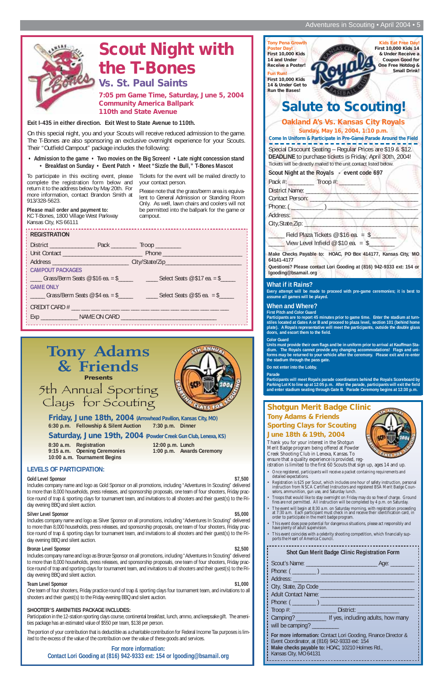#### Adventures in Scouting • April 2004 • 5

| <b>REGISTRATION</b>                                                              |                                                                                                             |
|----------------------------------------------------------------------------------|-------------------------------------------------------------------------------------------------------------|
|                                                                                  |                                                                                                             |
|                                                                                  |                                                                                                             |
| ; Address ________________________________ City/State/Zip_______________________ |                                                                                                             |
| <b>CAMPOUT PACKAGES</b>                                                          |                                                                                                             |
|                                                                                  |                                                                                                             |
| <b>GAME ONLY</b>                                                                 |                                                                                                             |
|                                                                                  | $\frac{1}{1}$ ______ Grass/Berm Seats @ \$4 ea. = \$______________________Select Seats @ \$5 ea. = \$______ |
|                                                                                  |                                                                                                             |
|                                                                                  |                                                                                                             |
|                                                                                  |                                                                                                             |

**Exit I-435 in either direction. Exit West to State Avenue to 110th.**

On this special night, you and your Scouts will receive reduced admission to the game. The T-Bones are also sponsoring an exclusive overnight experience for your Scouts. Their "Outfield Campout" package includes the following:

**• Admission to the game • Two movies on the Big Screen! • Late night concession stand • Breakfast on Sunday • Event Patch • Meet "Sizzle the Bull," T-Bones Mascot**

To participate in this exciting event, please complete the registration form below and return it to the address below by May 20th. For more information, contact Brandon Smith at 913/328-5623.

**Please mail order and payment to:** KC T-Bones, 1800 Village West Parkway Kansas City, KS 66111

Tickets for the event will be mailed directly to your contact person.

Please note that the grass/berm area is equivalent to General Admission or Standing Room Only. As well, lawn chairs and coolers will not be permitted into the ballpark for the game or campout.

#### **LEVELS OF PARTICIPATION:**

#### **Gold Level Sponsor \$7,500**

Includes company name and logo as Gold Sponsor on all promotions, including "Adventures In Scouting" delivered to more than 8,000 households, press releases, and sponsorship proposals, one team of four shooters, Friday practice round of trap & sporting clays for tournament team, and invitations to all shooters and their guest(s) to the Fri-

#### day evening BBQ and silent auction.

#### **Silver Level Sponsor**  $$5,000$

Includes company name and logo as Silver Sponsor on all promotions, including "Adventures In Scouting" delivered to more than 8,000 households, press releases, and sponsorship proposals, one team of four shooters, Friday practice round of trap & sporting clays for tournament team, and invitations to all shooters and their guest(s) to the Friday evening BBQ and silent auction.

#### **Bronze Level Sponsor** \$2,500

| <b>Tony Pena Growth</b><br><b>Kids Eat Free Day!</b><br><b>Poster Day!</b><br>First 10,000 Kids 14<br><b>First 10,000 Kids</b><br>& Under Receive a<br>14 and Under<br><b>Coupon Good for</b><br>One Free Hotdog &<br><b>Receive a Poster!</b><br><b>Small Drink!</b><br><b>Fun Run!</b><br><b>First 10,000 Kids</b><br>14 & Under Get to<br><b>Run the Bases!</b><br><b>Salute to Scouting!</b> |
|--------------------------------------------------------------------------------------------------------------------------------------------------------------------------------------------------------------------------------------------------------------------------------------------------------------------------------------------------------------------------------------------------|
| <b>Oakland A's Vs. Kansas City Royals</b><br>Sunday, May 16, 2004, 1:10 p.m.<br>Come In Uniform & Participate in Pre-Game Parade Around the Field                                                                                                                                                                                                                                                |
| Special Discount Seating - Regular Prices are \$19 & \$12.<br>DEADLINE to purchase tickets is Friday, April 30th, 2004!<br>Tickets will be directly mailed to the unit contact listed below.                                                                                                                                                                                                     |
| Scout Night at the Royals - event code 697                                                                                                                                                                                                                                                                                                                                                       |
| Pack #: ____________ Troop #: ___                                                                                                                                                                                                                                                                                                                                                                |
| District Name:                                                                                                                                                                                                                                                                                                                                                                                   |
| Contact Person: _____                                                                                                                                                                                                                                                                                                                                                                            |
| Phone: $(\_\_)$                                                                                                                                                                                                                                                                                                                                                                                  |
| Address:                                                                                                                                                                                                                                                                                                                                                                                         |
| City, State, Zip:                                                                                                                                                                                                                                                                                                                                                                                |
| Field Plaza Tickets $@$16$ ea. = \$<br>View Level Infield $@$ \$10 ea. = \$                                                                                                                                                                                                                                                                                                                      |
| Make Checks Payable to: HOAC, PO Box 414177, Kansas City, MO<br>64141-4177<br>Questions? Please contact Lori Gooding at (816) 942-9333 ext: 154 or<br>lgooding@bsamail.org                                                                                                                                                                                                                       |
| $M/h$ at if it Daine?                                                                                                                                                                                                                                                                                                                                                                            |

Includes company name and logo as Bronze Sponsor on all promotions, including "Adventures In Scouting" delivered to more than 8,000 households, press releases, and sponsorship proposals, one team of four shooters, Friday practice round of trap and sporting clays for tournament team, and invitations to all shooters and their guest(s) to the Friday evening BBQ and silent auction.

#### **Team Level Sponsor \$1,000** \$1,000

One team of four shooters, Friday practice round of trap & sporting clays four tournament team, and invitations to all shooters and their guest(s) to the Friday evening BBQ and silent auction.

#### **SHOOTER'S AMENITIES PACKAGE INCLUDES:**

Participation in the 12-station sporting clays course, continental breakfast, lunch, ammo, and keepsake gift. The amenities package has an estimated value of \$550 per team, \$138 per person.

The portion of your contribution that is deductible as a charitable contribution for Federal Income Tax purposes is limited to the excess of the value of the contribution over the value of these goods and services.



**For more information: Contact Lori Gooding at (816) 942-9333 ext: 154 or lgooding@bsamail.org**

# **Scout Night with the T-Bones**

**7:05 pm Game Time, Saturday, June 5, 2004 Community America Ballpark**



#### **What if it Rains?**

**Every attempt will be made to proceed with pre-game ceremonies; it is best to assume all games will be played.**

#### **When and Where?**

**First Pitch and Color Guard**

**Participants are to report 45 minutes prior to game time. Enter the stadium at turnstiles located at Gates A or B and proceed to plaza level, section 101 (behind home plate). A Royals representative will meet the participants, outside the double glass doors, and escort them to the field.**

#### **Color Guard**

**Units must provide their own flags and be in uniform prior to arrival at Kauffman Stadium. The Royals cannot provide any changing accommodations! Flags and uniforms may be returned to your vehicle after the ceremony. Please exit and re-enter the stadium through the pass gate.**

**Do not enter into the Lobby.**

**Parade**

**Participants will meet Royals parade coordinators behind the Royals Scoreboard by Parking Lot K to line up at 12:05 p.m. After the parade, participants will exit the field and enter stadium seating through Gate B. Parade Ceremony begins at 12:30 p.m.**

Thank you for your interest in the Shotgun Merit Badge program being offered at Powder Creek Shooting Club in Lenexa, Kansas. To ensure that a quality experience is provided, reg-



| Thes are not permitted. All mistruction will be completed by 4 p.m. On Saturday.<br>The event will begin at 8:30 a.m. on Saturday morning, with registration proceeding<br>at 7:30 a.m. Each participant must check in and receive their identification card, in<br>order to participate in the merit badge program. |                                                                                                                |  |
|----------------------------------------------------------------------------------------------------------------------------------------------------------------------------------------------------------------------------------------------------------------------------------------------------------------------|----------------------------------------------------------------------------------------------------------------|--|
| $\bullet$<br>have plenty of adult supervision.                                                                                                                                                                                                                                                                       | This event does pose potential for dangerous situations, please act responsibly and                            |  |
| ports the Heart of America Council.                                                                                                                                                                                                                                                                                  | This event coincides with a celebrity shooting competition, which financially sup-                             |  |
|                                                                                                                                                                                                                                                                                                                      | Shot Gun Merit Badge Clinic Registration Form                                                                  |  |
|                                                                                                                                                                                                                                                                                                                      |                                                                                                                |  |
|                                                                                                                                                                                                                                                                                                                      |                                                                                                                |  |
|                                                                                                                                                                                                                                                                                                                      | Address: Address:                                                                                              |  |
|                                                                                                                                                                                                                                                                                                                      |                                                                                                                |  |
|                                                                                                                                                                                                                                                                                                                      | Adult Contact Name: 2008 - 2008 - 2010 - 2010 - 2010 - 2010 - 2010 - 2010 - 2010 - 2010 - 2010 - 2010 - 2010 - |  |
| Phone: $(\_\_)$                                                                                                                                                                                                                                                                                                      |                                                                                                                |  |
|                                                                                                                                                                                                                                                                                                                      | Troop #: _________________________ District: ___________________________________                               |  |
|                                                                                                                                                                                                                                                                                                                      | Camping? ________________ If yes, including adults, how many                                                   |  |
| will be camping? _________                                                                                                                                                                                                                                                                                           |                                                                                                                |  |
|                                                                                                                                                                                                                                                                                                                      | For more information: Contact Lori Gooding, Finance Director &                                                 |  |
| Event Coordinator, at (816) 942-9333 ext: 154                                                                                                                                                                                                                                                                        |                                                                                                                |  |
| Kansas City, MO 64131                                                                                                                                                                                                                                                                                                | Make checks payable to: HOAC, 10210 Holmes Rd.,                                                                |  |
|                                                                                                                                                                                                                                                                                                                      |                                                                                                                |  |

- istration is limited to the first 60 Scouts that sign up, ages 14 and up. • Once registered, participants will receive a packet containing requirements and detailed expectations.
- Registration is \$25 per Scout, which includes one hour of safety instruction, personal instruction from NSCA Certified Instructors and registered BSA Merit Badge Counselors, ammunition, gun use, and Saturday lunch.
- Troops that would like to stay overnight on Friday may do so free of charge. Ground fires are not permitted. All instruction will be completed by 4 p.m. on Saturday.

#### **Shotgun Merit Badge Clinic Tony Adams & Friends Sporting Clays for Scouting June 18th & 19th, 2004**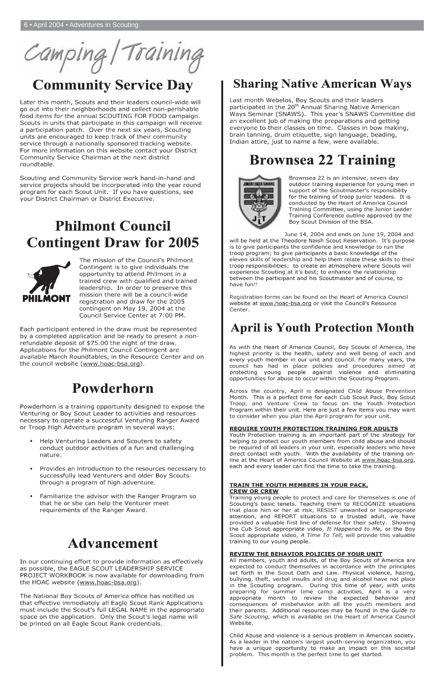

# **Community Service Day**

Later this month, Scouts and their leaders council-wide will go out into their neighborhoods and collect non-perishable food items for the annual SCOUTING FOR FOOD campaign. Scouts in units that participate in this campaign will receive a participation patch. Over the next six years, Scouting units are encouraged to keep track of their community service through a nationally sponsored tracking website. For more information on this website contact your District Community Service Chairman at the next district roundtable.

Scouting and Community Service work hand-in-hand and service projects should be incorporated into the year round program for each Scout Unit. If you have questions, see your District Chairman or District Executive.

# **Philmont Council Contingent Draw for 2005**



The mission of the Council's Philmont Contingent is to give individuals the opportunity to attend Philmont in a trained crew with qualified and trained leadership. In order to preserve this mission there will be a council-wide registration and draw for the 2005 contingent on May 19, 2004 at the Council Service Center at 7:00 PM.

Each participant entered in the draw must be represented by a completed application and be ready to present a nonrefundable deposit of \$75.00 the night of the draw. Applications for the Philmont Council Contingent are available March Roundtables, in the Resource Center and on the council website (www.hoac-bsa.org).

# Powderhorn

Powderhorn is a training opportunity designed to expose the Venturing or Boy Scout Leader to activities and resources necessary to operate a successful Venturing Ranger Award or Troop High Adventure program in several ways:

- Help Venturing Leaders and Scouters to safety conduct outdoor activities of a fun and challenging nature.
- Provides an introduction to the resources necessary to successfully lead Venturers and older Boy Scouts through a program of high adventure.
- Familiarize the advisor with the Ranger Program so that he or she can help the Venturer meet

# **Sharing Native American Ways**

Last month Webelos, Boy Scouts and their leaders participated in the 20<sup>th</sup> Annual Sharing Native American Ways Seminar (SNAWS). This year's SNAWS Committee did an excellent job of making the preparations and getting everyone to their classes on time. Classes in bow making, brain tanning, drum etiquette, sign language, beading, Indian attire, just to name a few, were available.

# **Brownsea 22 Training**



Brownsea 22 is an intensive, seven-day outdoor training experience for young men in support of the Scoutmaster's responsibility for the training of troop junior leaders. It is conducted by the Heart of America Council Training Committee, using the Junior Leader Training Conference outline approved by the Boy Scout Division of the BSA.

June 14, 2004 and ends on June 19, 2004 and

will be held at the Theodore Naish Scout Reservation. It's purpose is to give participants the confidence and knowledge to run the troop program; to give participants a basic knowledge of the eleven skills of leadership and help them relate these skills to their troop responsibilities; to create an atmosphere where Scouts will experience Scouting at it's best; to enhance the relationship between the participant and his Scoutmaster and of course, to have fun!!

Registration forms can be found on the Heart of America Council website at www.hoac-bsa.org or visit the Council's Resource Center

# **April is Youth Protection Month**

As with the Heart of America Council, Boy Scouts of America, the highest priority is the health, safety and well being of each and every youth member in our unit and council. For many years, the council has had in place policies and procedures aimed at protecting young people against violence and eliminating opportunities for abuse to occur within the Scouting Program.

Across the country, April is designated Child Abuse Prevention Month. This is a perfect time for each Cub Scout Pack, Boy Scout Troop, and Venture Crew to focus on the Youth Protection Program within their unit. Here are just a few items you may want to consider when you plan the April program for your unit.

#### **REQUIRE YOUTH PROTECTION TRAINING FOR ADULTS**

Youth Protection training is an important part of the strategy for helping to protect our youth members from child abuse and should be required of all leaders in your unit, especially leaders who have direct contact with youth. With the availability of the training online at the Heart of America Council Website at www.hoac-bsa.org, each and every leader can find the time to take the training.

#### **TRAIN THE YOUTH MEMBERS IN YOUR PACK, CREW OR CREW**

Training young people to protect and care for themselves is one of Scouting's basic tenets. Teaching them to RECOGNIZE situations that place him or her at risk, RESIST unwanted or inappropriate attention, and REPORT situations to a trusted adult, we have provided a valuable first line of defense for their safety. Showing the Cub Scout appropriate video, It Happened to Me, or the Boy Scout appropriate video, A Time To Tell, will provide this valuable training to our young people.

requirements of the Ranger Award.

# **Advancement**

In our continuing effort to provide information as effectively as possible, the EAGLE SCOUT LEADERSHIP SERVICE PROJECT WORKBOOK is now available for downloading from the HOAC website (www.hoac-bsa.org).

The National Boy Scouts of America office has notified us that effective immediately all Eagle Scout Rank Applications must include the Scout's full LEGAL NAME in the appropriate space on the application. Only the Scout's legal name will be printed on all Eagle Scout Rank credentials.

#### **REVIEW THE BEHAVIOR POLICIES OF YOUR UNIT**

All members, youth and adults, of the Boy Scouts of America are expected to conduct themselves in accordance with the principles set forth in the Scout Oath and Law. Physical violence, hazing, bullying, theft, verbal insults and drug and alcohol have not place in the Scouting program. During this time of year, with units preparing for summer time camp activities, April is a very appropriate month to review the expected behavior and consequences of misbehavior with all the youth members and their parents. Additional resources may be found in the Guide to Safe Scouting, which is available on the Heart of America Council Website.

Child Abuse and violence is a serious problem in American society. As a leader in the nation's largest youth-serving organization, you have a unique opportunity to make an impact on this societal problem. This month is the perfect time to get started.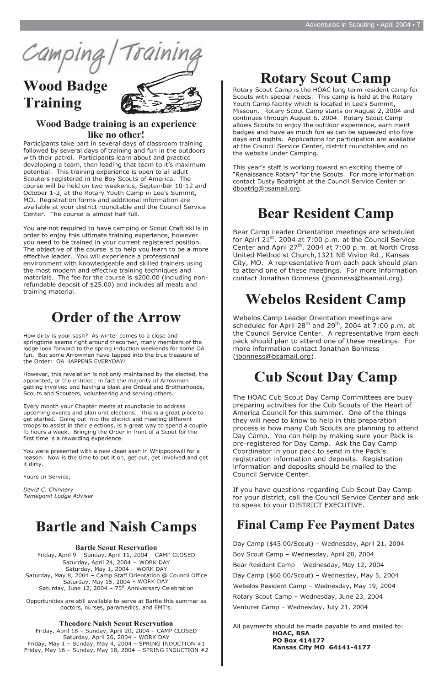Camping.

# **Wood Badge Training**



# Wood Badge training is an experience like no other!

Participants take part in several days of classroom training followed by several days of training and fun in the outdoors with their patrol. Participants learn about and practice developing a team, then leading that team to it's maximum potential. This training experience is open to all adult Scouters registered in the Boy Scouts of America. The course will be held on two weekends, September 10-12 and October 1-3, at the Rotary Youth Camp in Lee's Summit, MO. Registration forms and additional information are available at your district roundtable and the Council Service Center. The course is almost half full.

You are not required to have camping or Scout Craft skills in order to enjoy this ultimate training experience, however you need to be trained in your current registered position. The objective of the course is to help you learn to be a more effective leader. You will experience a professional environment with knowledgeable and skilled trainers using the most modern and effective training techniques and materials. The fee for the course is \$200.00 (including nonrefundable deposit of \$25.00) and includes all meals and training material.

# **Order of the Arrow**

How dirty is your sash? As winter comes to a close and springtime seems right around thecorner, many members of the lodge look forward to the spring induction weekends for some OA fun. But some Arrowmen have tapped into the true treasure of the Order: OA HAPPENS EVERYDAY!

However, this revelation is not only maintained by the elected, the appointed, or the entitled; in fact the majority of Arrowmen getting involved and having a blast are Ordeal and Brotherhoods, Scouts and Scouters, volunteering and serving others.

Every month your Chapter meets at roundtable to address upcoming events and plan unit elections. This is a great place to get started. Going out into the district and meeting different troops to assist in their elections, is a great way to spend a couple fo hours a week. Bringing the Order in front of a Scout for the first time is a rewarding experience.

You were presented with a new clean sash in Whippoorwill for a reason. Now is the time to put it on, get out, get involved and get it dirty.

Yours In Service,

David C. Chinnery Tamegonit Lodge Adviser

# **Rotary Scout Camp**

Rotary Scout Camp is the HOAC long term resident camp for Scouts with special needs. This camp is held at the Rotary Youth Camp facility which is located in Lee's Summit, Missouri. Rotary Scout Camp starts on August 2, 2004 and continues through August 6, 2004. Rotary Scout Camp allows Scouts to enjoy the outdoor experience, earn merit badges and have as much fun as can be squeezed into five days and nights. Applications for participation are available at the Council Service Center, district roundtables and on the website under Camping.

This year's staff is working toward an exciting theme of "Renaissance Rotary" for the Scouts. For more information contact Dusty Boatright at the Council Service Center or dboatrig@bsamail.org.

# **Bear Resident Camp**

Bear Camp Leader Orientation meetings are scheduled for Apirl  $21^{st}$ , 2004 at 7:00 p.m. at the Council Service Center and April 27<sup>th</sup>, 2004 at 7:00 p.m. at North Cross United Methodist Church, 1321 NE Vivion Rd., Kansas City, MO. A representative from each pack should plan to attend one of these meetings. For more information contact Jonathan Bonness (jbonness@bsamail.org).

# **Webelos Resident Camp**

Webelos Camp Leader Orientation meetings are scheduled for April 28<sup>th</sup> and 29<sup>th</sup>, 2004 at 7:00 p.m. at the Council Service Center. A representative from each pack should plan to attend one of these meetings. For more information contact Jonathan Bonness (jbonness@bsamail.org).

# **Cub Scout Day Camp**

The HOAC Cub Scout Day Camp Committees are busy preparing activities for the Cub Scouts of the Heart of America Council for this summer. One of the things they will need to know to help in this preparation process is how many Cub Scouts are planning to attend Day Camp. You can help by making sure your Pack is pre-registered for Day Camp. Ask the Day Camp Coordinator in your pack to send in the Pack's registration information and deposits. Registration information and deposits should be mailed to the Council Service Center.

If you have questions regarding Cub Scout Day Camp for your district, call the Council Service Center and ask

# **Bartle and Naish Camps**

#### **Bartle Scout Reservation**

Friday, April 9 - Sunday, April 11, 2004 - CAMP CLOSED Saturday, April 24, 2004 - WORK DAY Saturday, May 1, 2004 - WORK DAY Saturday, May 8, 2004 - Camp Staff Orientation @ Council Office Saturday, May 15, 2004 - WORK DAY Saturday, June 12, 2004 -  $75<sup>th</sup>$  Anniversary Celebration

Opportunities are still available to serve at Bartle this summer as doctors, nurses, paramedics, and EMT's.

#### **Theodore Naish Scout Reservation**

Friday, April 18 - Sunday, April 20, 2004 - CAMP CLOSED Saturday, April 26, 2004 - WORK DAY Friday, May  $1$  - Sunday, May 4, 2004 - SPRING INDUCTION  $#1$ Friday, May 16 - Sunday, May 18, 2004 - SPRING INDUCTION #2 to speak to your DISTRICT EXECUTIVE.

# **Final Camp Fee Payment Dates**

Day Camp (\$45.00/Scout) - Wednesday, April 21, 2004 Boy Scout Camp - Wednesday, April 28, 2004 Bear Resident Camp - Wednesday, May 12, 2004 Day Camp (\$60.00/Scout) - Wednesday, May 5, 2004 Webelos Resident Camp - Wednesday, May 19, 2004 Rotary Scout Camp - Wednesday, June 23, 2004 Venturer Camp - Wednesday, July 21, 2004

All payments should be made payable to and mailed to: **HOAC, BSA** PO Box 414177 **Kansas City MO 64141-4177**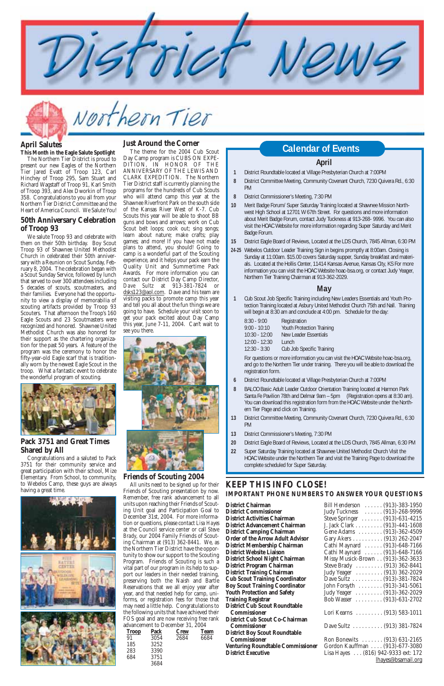

Northern Tier

## **KEEP THIS INFO CLOSE! IMPORTANT PHONE NUMBERS TO ANSWER YOUR QUESTIONS**

| BIII Henderson  (913)-383-1950      |  |
|-------------------------------------|--|
| Judy Tuckness  (913)-268-9996       |  |
| Steve Springer (913)-631-4215       |  |
| J. Jack Clark (913)-441-1608        |  |
| Gene Adams (913)-362-4509           |  |
| Gary Akers (913) 262-2047           |  |
| Cathi Maynard  (913)-648-7166       |  |
| Cathi Maynard  (913)-648-7166       |  |
| Missy Musick-Brown (913)-362-3633   |  |
| Steve Brady  (913) 362-8441         |  |
| Judy Yeager (913) 362-2029          |  |
|                                     |  |
| Dave Sultz (913)-381-7824           |  |
| John Forsyth  (913)-341-5061        |  |
| Judy Yeager (913)-362-2029          |  |
| Bob Wasser  (913)-631-2702          |  |
|                                     |  |
| Lori Kearns  (913) 583-1011         |  |
|                                     |  |
| Dave Sultz (913) 381-7824           |  |
|                                     |  |
| Ron Bonewits  (913) 631-2165        |  |
| Gordon Kauffman (913)-677-3080      |  |
| Lisa Hayes  (816) 942-9333 ext: 172 |  |
|                                     |  |
| lhayes@bsamail.org                  |  |

#### **April**

- **1** District Roundtable located at Village Presbyterian Church at 7:00PM
- **8** District Committee Meeting, Community Covenant Church, 7230 Quivera Rd., 6:30 PM
- **8** District Commissioner's Meeting, 7:30 PM
- **10** Merit Badge Forum/ Super Saturday Training located at Shawnee Mission Northwest High School at 12701 W 67th Street. For questions and more information about Merit Badge Forum, contact Judy Tuckness at 913-268- 9996. You can also visit the HOAC Website for more information regarding Super Saturday and Merit Badge Forum.
- **15** District Eagle Board of Reviews, Located at the LDS Church, 7845 Allman, 6:30 PM
- **24-25** Webelos Outdoor Leader Training Sign in begins promptly at 8:00am. Closing is Sunday at 11:00am. \$15.00 covers Saturday supper, Sunday breakfast and materials. Located at the Hollis Center, 11414 Kansas Avenue, Kansas City, KS For more information you can visit the HOAC Website hoac-bsa.org, or contact Judy Yeager, Northern Tier Training Chairman at 913-362-2029.

#### **May**

- **1** Cub Scout Job Specific Training including New Leaders Essentials and Youth Protection Training located at Asbury United Methodist Church 75th and Nall. Training will begin at 8:30 am and conclude at 4:00 pm. Schedule for the day:
	- 8:30 9:00 Registration 9:00 - 10:10 Youth Protection Training 10:30 - 12:00 New Leader Essentials 12:00 - 12:30 Lunch
	- 12:30 3:30 Cub Job Specific Training

For questions or more information you can visit the HOAC Website hoac-bsa.org, and go to the Northern Tier under training. There you will be able to download the registration form.

- **6** District Roundtable located at Village Presbyterian Church at 7:00PM
- **8** BALOO Basic Adult Leader Outdoor Orientation Training located at Harmon Park Santa Fe Pavilion 78th and Delmar 9am – 5pm (Registration opens at 8:30 am). You can download this registration form from the HOAC Website under the Northern Tier Page and click on Training.
- **13** District Committee Meeting, Community Covenant Church, 7230 Quivera Rd., 6:30 PM
- **13** District Commissioner's Meeting, 7:30 PM
- **20** District Eagle Board of Reviews, Located at the LDS Church, 7845 Allman, 6:30 PM
- **22** Super Saturday Training located at Shawnee United Methodist Church Visit the HOAC Website under the Northern Tier and visit the Training Page to download the complete scheduled for Super Saturday.

The theme for the 2004 Cub Scout Day Camp program is CUBS ON EXPE-DITION, IN HONOR OF THE ANNIVERSARY OF THE LEWIS AND CLARK EXPEDITION. The Northern Tier District staff is currently planning the programs for the hundreds of Cub Scouts who will attend camp this year at the Shawnee Riverfront Park on the south side of the Kansas River West of K-7. Cub Scouts this year will be able to shoot BB guns and bows and arrows; work on Cub Scout belt loops; cook out; sing songs; learn about nature; make crafts; play games; and more! If you have not made plans to attend, you should! Going to camp is a wonderful part of the Scouting experience, and it helps your pack earn the Quality Unit and Summertime Pack Awards. For more information you can contact our District Day Camp Director, *Dave Sultz* at 913-381-7824 or dsks123@aol.com. Dave and his team are visiting packs to promote camp this year and tell you all about the fun things we are going to have. Schedule your visit soon to get your pack excited about Day Camp this year, June 7-11, 2004. Can't wait to see you there.



#### **Friends of Scouting 2004**

All units need to be signed up for their Friends of Scouting presentation by now. Remember, free rank advancement to all units upon reaching their Friends of Scouting Unit goal and Participation Goal to December 31st, 2004. For more information or questions, please contact *Lisa Hayes* at the Council service center or call *Steve Brady*, our 2004 Family Friends of Scouting Chairman at (913) 362-8441. We, as the Northern Tier District have the opportunity to show our support to the Scouting Program. Friends of Scouting is such a vital part of our program in its help to support our leaders in their needed training, preserving both the Naish and Bartle Reservations that we all enjoy year after year, and that needed help for camp, uniforms, or registration fees for those that may need a little help. Congratulations to the following units that have achieved their FOS goal and are now receiving free rank advancement to December 31, 2004

# **Just Around the Corner**<br>The theme for the 2004 Cub Scout

| <b>Troop</b> | <b>Pack</b> | <b>Crew</b> | <b>Team</b> |
|--------------|-------------|-------------|-------------|
| 91           | 3054        | 2684        | 6684        |
| 185          | 3252        |             |             |
| 283          | 3390        |             |             |
| 684          | 3751        |             |             |
|              | 3684        |             |             |

**District Chairman District Commissioner District Activities Chairman District Advancement Chairman District Camping Chairman Order of the Arrow Adult Advisor District Membership Chairman District Website Liaison District School Night Chairman** District Program Chairman **District Training Chairman Cub Scout Training Coordinator Boy Scout Training Coordinator Youth Protection and Safety Training Registrar District Cub Scout Roundtable Commissioner District Cub Scout Co-Chairman**   $$ **District Boy Scout Roundtable Commissioner Venturing Roundtable Commissioner** 

**District Executive** 

# **April Salutes**

**This Month in the Eagle Salute Spotlight**  The Northern Tier District is proud to present our new Eagles of the Northern Tier Jared Evatt of Troop 123, Carl Hinchey of Troop 295, Sam Stuart and Richard Wagstaff of Troop 91, Karl Smith of Troop 393, and Alex Dworkin of Troop 358. Congratulations to you all from your Northern Tier District Committee and the Heart of America Council. We Salute You!

#### **50th Anniversary Celebration of Troop 93**

We salute Troop 93 and celebrate with them on their 50th birthday. Boy Scout Troop 93 of Shawnee United Methodist Church in celebrated their 50th anniversary with a Reunion on Scout Sunday, February 8, 2004. The celebration began with a Scout Sunday Service, followed by lunch that served to over 300 attendees including 5 decades of scouts, scoutmasters, and their families. Everyone had the opportunity to view a display of memorabilia of scouting artifacts provided by Troop 93 Scouters. That afternoon the Troop's 160 Eagle Scouts and 23 Scoutmasters were recognized and honored. Shawnee United Methodist Church was also honored for their support as the chartering organization for the past 50 years. A feature of the program was the ceremony to honor the fifty-year-old Eagle scarf that is traditionally worn by the newest Eagle Scout in the troop. What a fantastic event to celebrate the wonderful program of scouting.



#### **Pack 3751 and Great Times Shared by All**

Congratulations and a saluted to Pack 3751 for their community service and great participation with their school, Mize Elementary. From School, to community, to Webelos Camp, these guys are always having a great time.



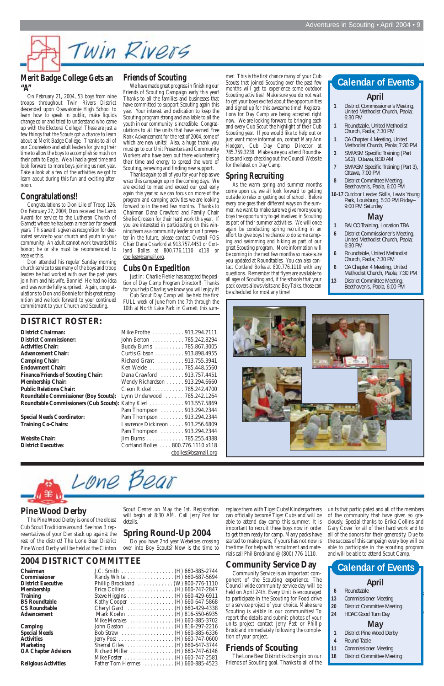# Twin Rivers

## **Merit Badge College Gets an "A"**

On February 21, 2004, 53 boys from nine troops throughout Twin Rivers District descended upon Osawatomie High School to learn how to speak in public, make liquids change color and tried to understand who came up with the Electoral College! These are just a few things that the Scouts got a chance to learn about at Merit Badge College. Thanks to all of our Counselors and adult leaders for giving their time to allow the boys to accomplish so much on their path to Eagle. We all had a great time and look forward to more boys joining us next year. Take a look at a few of the activities we got to learn about during this fun and exciting afternoon.

#### **Congratulations!!**

Congratulations to Don Lile of Troop 126. On February 22, 2004, Don received the Lamb Award for service to the Lutheran Church of Garnett where he has been a member for several years. This award is given as recognition for dedicated service to your church and youth in your community. An adult cannot work towards this honor; he or she must be recommended to receive this.

Don attended his regular Sunday morning church service to see many of the boys and troop leaders he had worked with over the past years join him and his wife, Bonnie! He had no idea and was wonderfully surprised. Again, congratulations to Don and Bonnie for this great recognition and we look forward to your continued commitment to your Church and Scouting.

## **Friends of Scouting**

We have made great progress in finishing our Friends of Scouting Campaign early this year! Thanks to all the families and businesses that have committed to support Scouting again this year. Your interest and dedication to keep the Scouting program strong and available to all the youth in our community is incredible. Congratulations to all the units that have earned Free Rank Advancement for the rest of 2004, some of which are new units! Also, a huge thank you must go to our Unit Presenters and Community Workers who have been out there volunteering their time and energy to spread the word of Scouting, renewing and finding new support.

Thanks again to all of you for your help as we wrap this campaign up in the coming days. We are excited to meet and exceed our goal early again this year so we can focus on more of the program and camping activities we are looking forward to in the next few months. Thanks to Chairman Dana Crawford and Family Chair Shellie Crosson for their hard work this year. If you are interested in participating on this winning team as a community leader or unit presenter in the future, please contact Overall FOS Chair *Dana Crawford* at 913.757.4451 or *Cortland Bolles* at 800.776.1110 x118 or cbolles@bsamail.org.

## **Cubs On Expedition**

Just in: Charlie Fiehler has accepted the position of Day Camp Program Director!! Thanks for your help Charlie; we know you will enjoy it!

Cub Scout Day Camp will be held the first FULL week of June from the 7th through the 10th at North Lake Park in Garnett this sum-

## **DISTRICT ROSTER:**

| <b>District Chairman:</b>                          | Mike             |
|----------------------------------------------------|------------------|
| <b>District Commissioner:</b>                      | John             |
| Activities Chair:                                  | <b>Budc</b>      |
| Advancement Chair:                                 | Curt             |
| <b>Camping Chair:</b>                              | Rich             |
| <b>Endowment Chair:</b>                            | Ken <sup>'</sup> |
| <b>Finance/Friends of Scouting Chair:</b>          | Dana             |
| Membership Chair:                                  | Wen              |
| <b>Public Relations Chair:</b>                     | Cleo             |
| <b>Roundtable Commissioner (Boy Scouts):</b> Lynn  |                  |
| <b>Roundtable Commissioners (Cub Scouts): Kath</b> |                  |
|                                                    | $D_{2m}$         |





mer. This is the first chance many of your Cub Scouts that joined Scouting over the past few months will get to experience some outdoor Scouting activities! Make sure you do not wait to get your boys excited about the opportunities and signed up for this awesome time! Registrations for Day Camp are being accepted right now. We are looking forward to bringing each and every Cub Scout the highlight of their Cub Scouting year. If you would like to help out or just want more information, contact *Mary Ann Hodgson*, Cub Day Camp Director at 785.759.3238. Make sure you attend Roundtables and keep checking out the Council Website for the latest on Day Camp.

- **Kamp**<br> **6** Roundtable
- Scout Camp is the highlight of every boys **13** Commissioner Meeting
- **20** District Committee Meeting **are all of**
- **24** HOAC Good Turn Day to do it. For more information contact our

# **Spring Recruiting**

As the warm spring and summer months come upon us, we all look forward to getting outside to relax or getting out of school. Before every one goes their different ways on the summer, we want to make sure we give more young boys the opportunity to get involved in Scouting as part of their summer activities. We will once again be conducting spring recruiting in an effort to give boys the chance to do some camping and swimming and hiking as part of our great Scouting program. More information will be coming in the next few months so make sure you updated at Roundtables. You can also contact *Cortland Bolles* at 800.776.1110 with any questions. Remember that flyers are available to all ages of Scouting and, if the schools that your pack covers allows visits and Boy Talks, those can be scheduled for most any time!

#### **April**

- **1** District Commissioner's Meeting, United Methodist Church, Paola; 6:30 PM
- **1** Roundtable, United Methodist Church, Paola; 7:30 PM
- **1** OA Chapter 4 Meeting, United Methodist Church, Paola; 7:30 PM
- **3** SM/ASM Specific Training (Part 1&2), Ottawa, 8:30 AM
- **7** SM/ASM Specific Training (Part 3), Ottawa, 7:00 PM
- **8** District Committee Meeting, Beethoven's, Paola, 6:00 PM
- **16-17** Outdoor Leader Skills, Lewis Young Park, Louisburg, 5:30 PM Friday– 9:00 PM Saturday

#### **May**

- **1** BALOO Training, Location TBA
- **6** District Commissioner's Meeting, United Methodist Church, Paola; 6:30 PM
- **6** Roundtable, United Methodist Church, Paola; 7:30 PM
- **6** OA Chapter 4 Meeting, United Methodist Church, Paola; 7:30 PM
- **13** District Committee Meeting, Beethoven's, Paola, 6:00 PM

# **Calendar of Events**



The Pine Wood Derby is one of the oldest Cub Scout Traditions around. See how 3 representatives of your Den stack up against the rest of the district! The Lone Bear District Pine Wood Derby will be held at the Clinton Scout Center on May the 1st. Registration will begin at 8:30 AM. Call *Jerry Post* for details.

# **Spring Round-Up 2004**

Do you have 2nd year Webeloes crossing over into Boy Scouts? Now is the time to

# **2004 DISTRICT COMMITTEE**

Lone Bear

**Religious Activities** 

| Chairman                    |                                                          |
|-----------------------------|----------------------------------------------------------|
| Commissioner                | Randy White (H) 660-687-5694                             |
| <b>District Executive</b>   | Phillip Brockland (W) 800-776-1110                       |
| Membership                  | Erica Collins $\dots \dots \dots \dots$ (H) 660-747-2847 |
| <b>Training</b>             | Steve Higgins (H) 660-429-6911                           |
| <b>BS Roundtable</b>        | Kathy Cooper (H) 660-647-5868                            |
| <b>CS Roundtable</b>        | Cheryl Gard (H) 660-429-4338                             |
| Advancement                 | Mark Koehn (H) 816-550-6935                              |
|                             | Mike Morales $\dots \dots \dots \dots$ (H) 660-885-3702  |
| Camping                     | John Gaston $\dots \dots \dots \dots$ (H) 816-297-2216   |
| <b>Special Needs</b>        |                                                          |
| Activities                  |                                                          |
| <b>Marketing</b>            | Sherral Giles $\dots \dots \dots \dots (H) 660-647-3744$ |
| <b>OA Chapter Advisors</b>  | Richard Miller (H) $660-747-6146$                        |
|                             | Mike Foster (H) 660-747-2581                             |
| <b>Religious Activities</b> | Father Tom Hermes (H) $660-885-4523$                     |

replace them with Tiger Cubs! Kindergartners can officially become Tiger Cubs and will be able to attend day camp this summer. It is important to recruit these boys now in order to get them ready for camp. Many packs have started to make plans, if yours has not now is the time! For help with recruitment and materials call *Phil Brockland* @ (800) 776-1110.

# **Community Service Day**

Community Service is an important component of the Scouting experience. The Council wide community service day will be held on April 24th. Every Unit is encouraged to participate in the Scouting for Food drive or a service project of your choice. Make sure Scouting is visible in our communities! To report the details and submit photos of your units project contact *Jerry Post* or *Phillip Brockland* immediately following the completion of your project.

# **Friends of Scouting**

The Lone Bear District is closing in on our Friends of Scouting goal. Thanks to all of the units that participated and all of the members of the community that have given so graciously. Special thanks to Erika Collins and Gary Cover for all of their hard work and to all of the donors for their generosity. Due to the success of this campaign every boy will be able to participate in the scouting program and will be able to attend Scout Camp.

# **April**

# District Camping Chairman, *John Gaston*. **May**

- **1** District Pine Wood Derby
- **4** Round Table
- **11** Commissioner Meeting
- **18** District Committee Meeting

# **Calendar of Events**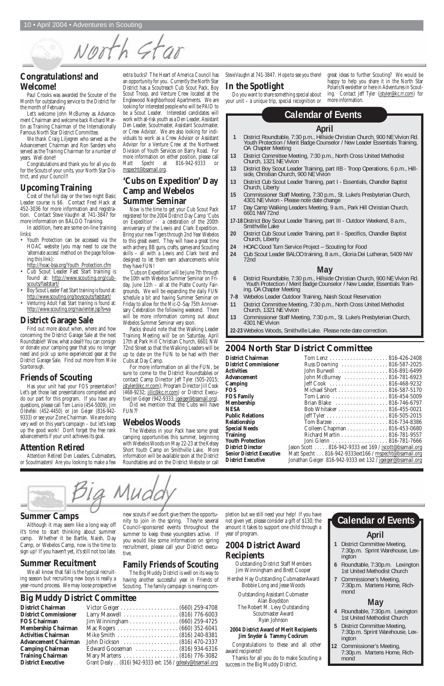## **Summer Camps**

Although it may seem like a long way off it's time to start thinking about summer camp. Whether it be Bartle, Naish, Day Camp, or Webelos Camp, now is the time to sign up! If you haven't yet, it's still not too late.

# **Summer Recuitment**

We all know that fall is the typical recruiting season but recruiting new boys is really a year-round process. We may loose prospective

pletion but we still need your help! If you have not given yet, please consider a gift of \$130; the amount it takes to support one child through a year of program.

# **2004 District Award Recipients**

Outstanding District Staff Members Jim Winningham and Brett Cooper

Hershel Hay Outstanding CubmasterAward Bobbie Long and Jesse Woods

> Outstanding Assistant Cubmaster Alan Boydston The Robert M. Levy Outstanding Scoutmaster Award Ryan Johnson

#### **2004 District Award of Merit Recipients Jim Snyder & Tammy Cockrum**

Congratulations to these and all other award recipients!!

Thanks for all you do to make Scouting a success in the Big Muddy District.

new scouts if we don't give them the opportunity to join in the spring. They're several Council-sponsored events throughout the summer to keep these youngsters active. If you would like some information on spring recruitment, please call your District executive.

# **Family Friends of Scouting**

The Big Muddy District is well on its way to having another successful year in Friends of Scouting. The family campaign is nearing com-

## **Congratulations! and Welcome!**

Paul Crooks was awarded the Scouter of the Month for outstanding service to the District for the month of February.

Let's welcome John McBurney as Advancement Chairman and welcome back Richard Martin as Training Chairman of the Internationally Famous North Star District Committee.

We thank Craig Liljegren who served as the Advancement Chairman and Ron Sanders who served as the Training Chairman for a number of years. Well done!!

Congratulations and thank you for all you do for the Scouts of your units, your North Star District, and your Council!!

# **Upcoming Training**

Cost of the full day or the two night Basic Leader course is \$6. Contact Fred Hack at 452-3036 for more information and registration. Contact *Steve Vaughn* at 741-3847 for more information on BALOO Training.

In addition, here are some on-line training links:

- Youth Protection can be accessed via the HOAC website (you may need to use the 'alternate access' method on the page following this link):
- http://hoac-bsa.org/Youth\_Protection.cfm
- Cub Scout Leader Fast Start training is found at: http://www.scouting.org/cubscouts/faststart/
- Boy Scout Leader Fast Start training is found at: http://www.scouting.org/boyscouts/faststart/
- Venturing Adult Fast Start training is found at: http://www.scouting.org/nav/enter.jsp?s=va

# **District Garage Sale**

Find out more about when, where and how concerning the District Garage Sale at the next Roundtable!! Wow, what a deal!! You can consign or donate your camping gear that you no longer need and pick up some experienced gear at the District Garage Sale. Find out more from *Mike Scarborough*.

# **Friends of Scouting**

Has your unit had your FOS presentation? Let's get those last presentations completed and do our part for this program. If you have any questions, please call *Tom Lanio* (454-5009), *Jim Olshefski* (452-4450) or *Jon Geiger* (816-942- 9333) or see your Zone Chairman. We are doing very well on this year's campaign – but let's keep up the good work! Don't forget the free rank advancements if your unit achieves its goal.

# **Attention Retired**

Attention Retired Den Leaders, Cubmasters, or Scoutmasters! Are you looking to make a few

# **2004 North Star District Committee**

Did we mention that the Cubs will have FUN??

| Russ Downing  816-587-2025                                 |
|------------------------------------------------------------|
| John Burwell  816-891-6499                                 |
| John McBurney  816-781-6923                                |
|                                                            |
| Michael Short 816-587-5170                                 |
| Tom Lanio 816-454-5009                                     |
| Brian Blake  816-746-6797                                  |
| Bob Whitaker 816-455-0021                                  |
|                                                            |
|                                                            |
| Colleen Chapman 816-453-0680                               |
| Richard Martin 816-781-9557                                |
|                                                            |
| Jason Scott  816-942-9333 ext 169 / jscott@bsamail.org     |
| Matt Specht 816-942-9333ext166 / mspecht@bsamail.org       |
| Jonathan Geiger 816-942-9333 ext 132 / jgeiger@bsamail.org |
|                                                            |

a Muc

*Steve Vaughn* at 741-3847. Hope to see you there!

# **In the Spotlight**

Do you want to share something special about your unit – a unique trip, special recognition or

great ideas to further Scouting? We would be happy to help you share it in the North Star Polaris Newsletter or here in Adventures in Scouting. Contact *Jeff Tyler* (jstyler@kc.rr.com) for more information.

extra bucks? The Heart of America Council has an opportunity for you. Currently the North Star District has a Scoutreach Cub Scout Pack, Boy Scout Troop, and Venture Crew located at the Englewood Neighborhood Apartments. We are looking for interested people who will be PAID to be a Scout Leader. Interested candidates will work with at-risk youth as a Den Leader, Assistant Den Leader, Scoutmaster, Assistant Scoutmaster, or Crew Advisor. We are also looking for individuals to work as a Crew Advisor or Assistant Advisor for a Venture Crew at the Northwest Division of Youth Services on Barry Road. For more information on either position, please call *Matt Specht* at 816-942-9333 or mspecht@bsamail.org.

## **'Cubs on Expedition' Day Camp and Webelos Summer Seminar**

Now is the time to get your Cub Scout Pack registered for the 2004 District Day Camp 'Cubs on Expedition' - a celebration of the 200th anniversary of the Lewis and Clark Expedition. Bring your new Tigers through 2nd Year Webelos to this great event. They will have a great time with archery, BB guns, crafts, games and Scouting skills – all with a Lewis and Clark twist and designed to let them earn advancements while they have FUN!

'Cubs on Expedition' will be June 7th through the 10th with Webelos Summer Seminar on Friday, June 11th – all at the Platte County Fairgrounds. We will be expanding the daily FUN schedule a bit and having Summer Seminar on Friday to allow for the Mic-O-Say 75th Anniversary Celebration the following weekend. There will be more information coming out about Webelos Summer Seminar very soon.

Packs should note that the Walking Leader Training Meeting will be on Saturday, April 17th at Park Hill Christian Church, 6601 NW 72nd Street so that the Walking Leaders will be up to date on the FUN to be had with their Cubs at Day Camp.

For more information on all the FUN, be sure to come to the District Roundtables or contact Camp Director *Jeff Tyler* (505-2015; jstyler@kc.rr.com); Program Director *Jill Cook* (468-9232; jillc@kc.rr.com) or District Executive *Jon Geiger* (942-9333; jgeiger@bsamail.org).

# **Webelos Woods**

The Webelos in your Pack have some great camping opportunities this summer, beginning with Webelos Woods on May 22-23 at the Kelsey Short Youth Camp on Smithville Lake. More information will be available soon at the District Roundtables and on the District Website or call

# **Big Muddy District Committee**

| <b>District Chairman</b>     |                                                          |
|------------------------------|----------------------------------------------------------|
| <b>District Commissioner</b> |                                                          |
| <b>FOS Chairman</b>          |                                                          |
| <b>Membership Chairman</b>   |                                                          |
| <b>Activities Chairman</b>   |                                                          |
| <b>Advancement Chairman</b>  |                                                          |
| <b>Camping Chairman</b>      | Edward Gooseman (816) 934-6316                           |
| <b>Training Chairman</b>     |                                                          |
| <b>District Executive</b>    | Grant Dealy (816) 942-9333 ext: 156 / gdealy@bsamail.org |

# **April**

- **1** District Committee Meeting, 7:30p.m. Sprint Warehouse, Lexington
- **6** Roundtable, 7:30p.m. Lexington 1st United Methodist Church
- **7** Commissioner's Meeting, 7:30p.m. Martens Home, Richmond

# **May**

- **4** Roundtable, 7:30p.m. Lexington 1st United Methodist Church
- **5** District Committee Meeting, 7:30p.m. Sprint Warehouse, Lexington
- **12** Commissioner's Meeting, 7:30p.m. Martens Home, Richmond

# **Calendar of Events**

#### **April**

- **1** District Roundtable, 7:30 p.m., Hillside Christian Church, 900 NE Vivion Rd. Youth Protection / Merit Badge Counselor / New Leader Essentials Training, OA Chapter Meeting
- **13** District Committee Meeting, 7:30 p.m., North Cross United Methodist Church, 1321 NE Vivion
- **13** District Boy Scout Leader Training, part IIB Troop Operations, 6 p.m., Hillside, Christian Church, 900 NE Vivion
- **13** District Cub Scout Leader Training, part I Essentials, Chandler Baptist Church, Liberty
- **15** Commissioner Staff Meeting, 7:30 p.m., St. Luke's Presbyterian Church, 4301 NE Vivion - Please note date change
- **17** Day Camp Walking Leaders Meeting, 9 a.m., Park Hill Christian Church, 6601 NW 72nd
- **17-18**District Boy Scout Leader Training, part III Outdoor Weekend, 8 a.m., Smithville Lake
- **20** District Cub Scout Leader Training, part II Specifics, Chandler Baptist Church, Liberty
- **24** HOAC Good Turn Service Project Scouting for Food
- **24** Cub Scout Leader BALOO training, 8 a.m., Gloria Dei Lutheran, 5409 NW 72nd

#### **May**

- **6** District Roundtable, 7:30 p.m., Hillside Christian Church, 900 NE Vivion Rd. Youth Protection / Merit Badge Counselor / New Leader, Essentials Training. OA Chapter Meeting
- **7-8** Webelos Leader Outdoor Training, Naish Scout Reservation
- **11** District Committee Meeting, 7:30 p.m., North Cross United Methodist Church, 1321 NE Vivion
- **13** Commissioner Staff Meeting, 7:30 p.m., St. Luke's Presbyterian Church, 4301 NE Vivion

**22-23** Webelos Woods, Smithville Lake. Please note date correction.

# **Calendar of Events**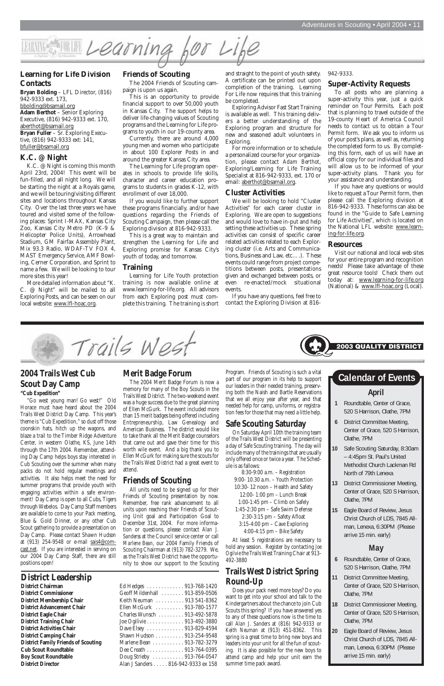#### **Friends of Scouting**

The 2004 Friends of Scouting campaign is upon us again.

This is an opportunity to provide financial support to over 50,000 youth in Kansas City. The support helps to deliver life-changing values of Scouting programs and the Learning for Life programs to youth in our 19-county area.

Currently, there are around 4,000 young men and women who participate in about 100 Explorer Posts in and around the greater Kansas City area.

The Learning for Life program operates in schools to provide life skills, character and career education programs to students in grades K-12, with enrollment of over 18,000.

If you would like to further support these programs financially, and/or have questions regarding the Friends of Scouting Campaign, then please call the Exploring division at 816-942-9333.

This is a great way to maintain and strengthen the Learning for Life and Exploring promise for Kansas City's youth of today, and tomorrow.

#### **Training**

Learning for Life Youth protection training is now available online at www.learning-for-life.org. All advisors from each Exploring post must complete this training. The training is short and straight to the point of youth safety. A certificate can be printed out upon completion of the training. Learning For Life now requires that this training be completed.

Exploring Advisor Fast Start Training is available as well. This training delivers a better understanding of the Exploring program and structure for new and seasoned adult volunteers in Exploring.

For more information or to schedule a personalized course for your organization, please contact *Adam Berthot*, Exploring/Learning for Life Training Specialist at 816-942-9333, ext. 170 or email: aberthot@bsamail.org.

#### **Cluster Activities**

We will be looking to hold "Cluster Activities" for each career cluster in Exploring. We are open to suggestions and would love to have in-put and help setting these activities up. These spring activities can consist of specific career related activities related to each Exploring cluster (i.e. Arts and Communications, Business and Law, etc….). These events could range from project competitions between posts, presentations given and exchanged between posts, or even re-enacted/mock situational events.

If you have any questions, feel free to contact the Exploring Division at 816942-9333.

#### **Super-Activity Requests**

To all posts who are planning a super-activity this year, just a quick reminder on Tour Permits. Each post that is planning to travel outside of the 19-county Heart of America Council needs to contact us to obtain a Tour Permit form. We ask you to inform us of your post's plans, as well as, returning the completed form to us. By completing this form, each of us will have an official copy for our individual files and will allow us to be informed of your super-activity plans. Thank you for your assistance and understanding.

If you have any questions or would like to request a Tour Permit form, then please call the Exploring division at 816-942-9333. These forms can also be found in the "Guide to Safe Learning for Life Activities", which is located on the National LFL website: www.learning-for-life.org.

#### **Resources**

Visit our national and local web sites for your entire program and recognition needs! Please take advantage of these great resource tools! Check them out today at: www.learning-for-life.org (National) & www.lfl-hoac.org (Local).



#### **Learning for Life Division Contacts**

**Bryan Bolding** – LFL Director, (816) 942-9333 ext. 173, bbolding@bsamail.org **Adam Berthot** – Senior Exploring Executive, (816) 942-9333 ext. 170, aberthot@bsamail.org **Bryan Fuller** – Sr. Exploring Executive, (816) 942-9333 ext: 141, bfuller@bsamail.org

#### **K.C. @ Night**

K.C. @ Night is coming this month April 23rd, 2004! This event will be fun-filled, and all night long. We will be starting the night at a Royals game, and we will be touring/visiting different sites and locations throughout Kansas City. Over the last three years we have toured and visited some of the following places: Sprint I-MAX, Kansas City Zoo, Kansas City Metro PD (K-9 & Helicopter Police Units), Arrowhead Stadium, GM Fairfax Assembly Plant, Mix 93.3 Radio, WDAF-TV FOX 4, MAST Emergency Service, AMF Bowling, Cerner Corporation, and Sprint to name a few. We will be looking to tour more sites this year!

More detailed information about "K. C. @ Night" will be mailed to all Exploring Posts, and can be seen on our local website: www.lfl-hoac.org.



# **2004 Trails West Cub Scout Day Camp**

**"Cub Expedition"** 

"Go west young man! Go west!" Old Horace must have heard about the 2004 Trails West District Day Camp. This year's theme is "Cub Expedition," so dust off those coonskin hats, hitch up the wagons, and blaze a trail to the Timber Ridge Adventure Center, in western Olathe, KS, June 14th through the 17th 2004. Remember, attending Day Camp helps boys stay interested in Cub Scouting over the summer when many packs do not hold regular meetings and activities. It also helps meet the need for summer programs that provide youth with engaging activities within a safe environment! Day Camp is open to all Cubs, Tigers through Webelos. Day Camp Staff members are available to come to your Pack meeting, Blue & Gold Dinner, or any other Cub Scout gathering to provide a presentation on Day Camp. Please contact *Shawn Hudson* at (913) 254-9548 or e-mail sais4@comcast.net. If you are interested in serving on our 2004 Day Camp Staff, there are still positions open!

#### **Merit Badge Forum**

The 2004 Merit Badge Forum is now a memory for many of the Boy Scouts in the Trails West District. The two-weekend event was a huge success due to the great planning of Ellen McGurk. The event included more than 15 merit badges being offered including Entrepreneurship, Law Genealogy and American Business. The district would like to take thank all the Merit Badge counselors that came out and gave their time for this worth wile event. And a big thank you to Ellen McGurk for making sure the scouts for the Trails West District had a great event to attend.

#### **Friends of Scouting**

All units need to be signed up for their Friends of Scouting presentation by now. Remember, free rank advancement to all units upon reaching their Friends of Scouting Unit goal and Participation Goal to December 31st, 2004. For more information or questions, please contact *Alan J. Sanderss* at the Council service center or call *Marlene Bean*, our 2004 Family Friends of Scouting Chairman at (913) 782-3279. We, as the Trails West District have the opportunity to show our support to the Scouting

Program. Friends of Scouting is such a vital part of our program in its help to support our leaders in their needed training, preserving both the Naish and Bartle Reservations that we all enjoy year after year, and that needed help for camp, uniforms, or registration fees for those that may need a little help.

## **Safe Scouting Saturday**

On Saturday April 10th the training team of the Trails West District will be presenting a day of Safe Scouting training. The day will include many of the trainings that are usually only offered once or twice a year. The Schedule is as fallows:

8:30-9:00 a.m. – Registration 9:00- 10.30 a.m. – Youth Protection 10:30- 12 noon – Health and Safety

12:00- 1:00 pm – Lunch Break 1:00-1:45 pm – Climb on Safely

1:45-2:30 pm – Safe Swim Defense 2:30-3:15 pm – Safety Afloat 3:15-4:00 pm – Cave Exploring 4:00-4:15 pm – Bike Safety

At least 5 registrations are necessary to hold any session. Register by contacting *Joe Ogilvie* the Trails West Training Chair at 913- 492-3880

# **Trails West District Spring Round-Up**

Does your pack need more boys? Do you want to get into your school and talk to the Kindergartners about the chance to join Cub Scouts this spring? If you have answered yes to any of these questions now is the time to call *Alan J. Sanders* at (816) 942-9333 or *Keith Neuman* at (913) 451-8362. This spring is a great time to bring new boys and leaders into your unit for all the fun of scouting. It is also possible for the new boys to attend camp and help your unit earn the summer time pack award.

- **1** Roundtable, Center of Grace, 520 S Harrison, Olathe, 7PM
- **District Committee Meeting,** Center of Grace, 520 S Harrison, Olathe, 7PM
- **10** Safe Scouting Saturday, 8:30am – 4:45pm St. Paul's United Methodist Church Lackman Rd North of 79th Lenexa
- **13** District Commissioner Meeting, Center of Grace, 520 S Harrison, Olathe, 7PM

**15** Eagle Board of Review, Jesus Christ Church of LDS, 7845 Allman, Lenexa, 6:30PM (Please arrive 15 min. early)

# **April Calendar of Events**

# **May**

- **6** Roundtable, Center of Grace, 520 S Harrison, Olathe, 7PM
- **11** District Committee Meeting, Center of Grace, 520 S Harrison, Olathe, 7PM
- **18** District Commissioner Meeting, Center of Grace, 520 S Harrison, Olathe, 7PM
- **20** Eagle Board of Review, Jesus Christ Church of LDS, 7845 Allman, Lenexa, 6:30PM (Please arrive 15 min. early)

# **District Leadership**

| <b>District Chairman</b>                   | Ed Hedges 913-768-1420             |
|--------------------------------------------|------------------------------------|
| <b>District Commissioner</b>               | Geoff Mildenhall  913-859-0506     |
| <b>District Membership Chair</b>           | Keith Neuman  913 541-8362         |
| <b>District Advancement Chair</b>          | Ellen McGurk  913-780-1577         |
| <b>District Eagle Chair</b>                | Charles Wunsch 913-492-5878        |
| <b>District Training Chair</b>             | Joe Ogilivie 913-492-3880          |
| <b>District Activities Chair</b>           | Dave Elsey 913-829-4594            |
| <b>District Camping Chair</b>              | Shawn Hudson 913-254-9548          |
| <b>District Family Friends of Scouting</b> | Marlene Bean 913-782-3279          |
| <b>Cub Scout Roundtable</b>                | Dee Creath 913-764-0395            |
| <b>Boy Scout Roundtable</b>                | Doug Strieby  913-764-0547         |
| <b>District Director</b>                   | Alan J Sanders 816-942-9333 ex 158 |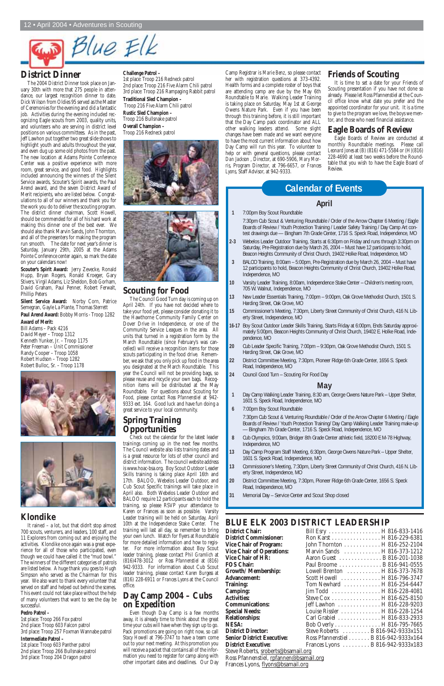# $Blue$   $Elk$

## **District Dinner**

The 2004 District Dinner took place on January 30th with more that 275 people in attendance, our largest recognition dinner to date. Dick Wilson from Oldies 95 served as the Master of Ceremonies for the evening and did a fantastic job. Activities during the evening included recognizing Eagle scouts from 2003, quality units, and volunteers who are serving in district level positions on various committees. As in the past, Jeff Lawhon put together two great slide shows to highlight youth and adults throughout the year, and even dug up some old photos from the past. The new location at Adams Pointe Conference Center was a positive experience with more room, great service, and good food. Highlights included announcing the winners of the Silent Service awards, Scouter's Spirit awards, the Paul Arend award, and the seven District Award of Merit recipients, who are listed below. Congratulations to all of our winners and thank you for the work you do to deliver the scouting program. The district dinner chairman, Scott Howell, should be commended for all of his hard work at making this dinner one of the best ever. We should also thank Marvin Sands, John Thornton, and all of the presenters for making the program run smooth. The date for next year's dinner is Saturday, January 29th, 2005 at the Adams Pointe Conference center again, so mark the date on your calendars now!

**Scouter's Spirit Award:** Jerry Zevecke, Ronald Hupp, Bryan Rogers, Ronald Kroeger, Gary Stivers, Virgil Adams, Liz Sheldon, Bob Gorham, David Graham, Paul Penner, Robert Ferwalt, Phillip Peters

**Silent Service Award:** Norby Corn, Patrice Semegran, Gayle La Plante, Thomas Sterrett **Paul Arend Award:** Bobby Morris - Troop 1282 **Award of Merit:** Bill Adams – Pack 4216 David Meyer – Troop 1312

Kenneth Yunker, Jr. – Troop 1175 Peter Freeman – Unit Commissioner Randy Cooper – Troop 1058 Robert Hudson – Troop 1282 Robert Bulloc, Sr. – Troop 1178





## **Klondike**

It rained – a lot, but that didn't stop almost 700 scouts, venturers, and leaders, 100 staff, and 11 Explorers from coming out and enjoying the activities. Klondike once again was a great experience for all of those who participated, even though we could have called it the "mud bowl." The winners of the different categories of patrols are listed below. A huge thank you goes to Hugh Simpson who served as the Chairman for this year. We also want to thank every volunteer that served on staff and helped out behind the scenes. This event could not take place without the help of many volunteers that want to see the day be successful.

#### **Pedro Patrol –**

1st place: Troop 266 Fox patrol 2nd place: Troop 603 Falcon patrol 3rd place: Troop 257 Foxman Wannabe patrol **Intermediate Patrol –** 

1st place: Troop 603 Panther patrol 2nd place: Troop 266 Bullsnake patrol 3rd place: Troop 204 Dragon patrol

#### **Challenge Patrol –**

1st place: Troop 216 Redneck patrol 2nd place: Troop 216 Five Alarm Chili patrol 3rd place: Troop 216 Rampaging Rabbit patrol **Traditional Sled Champion –** Troop 216 Five Alarm Chili patrol **Rustic Sled Champion –**  Troop 216 Bullsnake patrol **Overall Champion –**  Troop 216 Redneck patrol





#### **Scouting for Food**

The Council Good Turn day is coming up on April 24th. If you have not decided where to take your food yet, please consider donating it to the Hawthorne Community Family Center on Dover Drive in Independence, or one of the Community Service Leagues in the area. All units that turned in a registration form by the March Roundtable (since February's was cancelled) will receive a recognition items for those scouts participating in the food drive. Remember, we ask that you only pick up food in the area you designated at the March Roundtable. This year the Council will not be providing bags, so please reuse and recycle your own bags. Recognition items will be distributed at the May Roundtable. For questions about Scouting for Food, please contact *Ross Pfannenstiel* at 942-9333 ext. 164. Good luck and have fun doing a great service to your local community.

## **Spring Training Opportunities**

Check out the calendar for the latest leader trainings coming up in the next few months. The Council website also lists training dates and is a great resource for lots of other council and district information. The council website address is www.hoac-bsa.org. Boy Scout Outdoor Leader Skills training is taking place April 16th and 17th. BALOO, Webelos Leader Outdoor, and Cub Scout Specific trainings will take place in April also. Both Webelos Leader Outdoor and BALOO require 12 participants each to hold the training, so please RSVP your attendance to Karen or Frances as soon as possible. Varsity Leader training will be held on Saturday, April 10th at the Independence Stake Center. The training will last all day, so remember to bring your own lunch. Watch for flyers at Roundtable for more detailed information and how to register. For more information about Boy Scout leader training, please contact *Phil Gramlich* at (816)478-3012 or *Ross Pfannenstiel* at (816) 942-9333. For information about Cub Scout leader training, please contact *Karen Burgess* at (816) 228-6911 or *Frances Lyons* at the Council office.

## **Day Camp 2004 – Cubs on Expedition**

Even though Day Camp is a few months away, it is already time to think about the great time your cubs will have when they sign up to go. Pack promotions are going on right now, so call *Stacy Howell* at 796-3747 to have a team come out to your next meeting. At this promotion you will receive a packet that contains all of the information you need to register for camp along with other important dates and deadlines. Our Day

# **BLUE ELK 2003 DISTRICT LEADERSHIP**

| <b>District Chair:</b>              | Bill Esry  H 816-833-1416            |  |  |
|-------------------------------------|--------------------------------------|--|--|
| <b>District Commissioner:</b>       | Ron Karst H 816-229-6381             |  |  |
| <b>Vice Chair of Program:</b>       | John Thornton H 816-252-2104         |  |  |
| <b>Vice Chair of Operations:</b>    | Marvin Sands H 816-373-1212          |  |  |
| Vice Chair of HR:                   | Aaron Guest B 816-201-1038           |  |  |
| <b>FOS Chair:</b>                   | Paul Broome B 816-941-0555           |  |  |
| Growth/Membership:                  | Lowell Brenton H 816-373-7678        |  |  |
| <b>Advancement:</b>                 | Scott Howell  H 816-796-3747         |  |  |
| Training:                           | Tom Newhard  H 816-254-6447          |  |  |
| Camping:                            |                                      |  |  |
| <b>Activities:</b>                  | Steve Cox H 816-625-8150             |  |  |
| <b>Communications:</b>              | Jeff Lawhon H 816-228-9203           |  |  |
| <b>Special Needs:</b>               | Louise Rissler H 816-228-1254        |  |  |
| <b>Relationships:</b>               | Carl Grabiel H 816-833-2933          |  |  |
| NESA:                               | Bob Overly H 816-795-7665            |  |  |
| <b>District Director:</b>           | Steve Roberts  B 816-942-9333x151    |  |  |
| <b>Senior District Executive:</b>   | Ross Pfannenstiel B 816-942-9333x164 |  |  |
| <b>District Executive:</b>          | Frances Lyons  B 816-942-9333x183    |  |  |
| Steve Roberts, sroberts@bsamail.org |                                      |  |  |

Ross Pfannenstiel, rpfannen@bsamail.org Frances Lyons, flyons@bsamail.org

#### **April**

**1** 7:00pm Boy Scout Roundtable

7:30pm Cub Scout & Venturing Roundtable / Order of the Arrow Chapter 6 Meeting / Eagle Boards of Review / Youth Protection Training / Leader Safety Training / Day Camp Art contest drawings due — Bingham 7th Grade Center, 1716 S. Speck Road, Independence, MO

- **2-3** Webelos Leader Outdoor Training, Starts at 6:30pm on Friday and runs through 3:30pm on Saturday, Pre-Registration due by March 26, 2004 – Must have 12 participants to hold, Beacon Heights Community of Christ Church, 19402 Holke Road, Independence, MO
- **3** BALOO Training, 8:00am 5:00pm, Pre-Registration due by March 26, 2004 Must have 12 participants to hold, Beacon Heights Community of Christ Church, 19402 Holke Road, Independence, MO
- **10** Varsity Leader Training, 8:00am, Independence Stake Center Children's meeting room, 705 W. Walnut, Independence, MO
- **13** New Leader Essentials Training, 7:00pm 9:00pm, Oak Grove Methodist Church, 1501 S. Harding Street, Oak Grove, MO
- **15** Commissioner's Meeting, 7:30pm, Liberty Street Community of Christ Church, 416 N. Liberty Street, Independence, MO
- **16-17** Boy Scout Outdoor Leader Skills Training, Starts Friday at 6:00pm, Ends Saturday approximately 5:00pm, Beacon Heights Community of Christ Church, 19402 E. Holke Road, Independence, MO
- **20** Cub Leader Specific Training, 7:00pm 9:30pm, Oak Grove Methodist Church, 1501 S. Harding Street, Oak Grove, MO
- **22** District Committee Meeting, 7:30pm, Pioneer Ridge 6th Grade Center, 1656 S. Speck Road, Independence, MO
- **24** Council Good Turn Scouting For Food Day

#### **May**

- **1** Day Camp Walking Leader Training, 8:30 am, George Owens Nature Park Upper Shelter, 1601 S. Speck Road, Independence, MO
- **6** 7:00pm Boy Scout Roundtable

7:30pm Cub Scout & Venturing Roundtable / Order of the Arrow Chapter 6 Meeting / Eagle Boards of Review / Youth Protection Training/ Day Camp Walking Leader Training make-up — Bingham 7th Grade Center, 1716 S. Speck Road, Independence, MO

- **8** Cub Olympics, 9:00am, Bridger 8th Grade Center athletic field, 18200 E M-78 Highway, Independence, MO
- **13** Day Camp Program Staff Meeting, 6:30pm, George Owens Nature Park Upper Shelter, 1601 S. Speck Road, Independence, MO
- **13** Commissioner's Meeting, 7:30pm, Liberty Street Community of Christ Church, 416 N. Liberty Street, Independence, MO
- **20** District Committee Meeting, 7:30pm, Pioneer Ridge 6th Grade Center, 1656 S. Speck Road, Independence, MO
- **31** Memorial Day Service Center and Scout Shop closed

# **Calendar of Events**

Camp Registrar is *Marie Benz*, so please contact her with registration questions at 373-4392. Health forms and a complete roster of boys that are attending camp are due by the May 6th Roundtable to Marie. Walking Leader Training is taking place on Saturday, May 1st at George Owens Nature Park. Even if you have been through this training before, it is still important that the Day Camp pack coordinator and ALL other walking leaders attend. Some slight changes have been made and we want everyone to have the most current information about how Day Camp will run this year. To volunteer to help or with general questions, please contact *Dan Jackson* , Director, at 690-5906, *Mary Morris*, Program Director, at 796-6657, or *Frances Lyons*, Staff Advisor, at 942-9333.

#### **Friends of Scouting**

It is time to set a date for your Friends of Scouting presentation if you have not done so already. Please let Ross Pfannenstiel at the Council office know what date you prefer and the appointed coordinator for your unit. It is a time to give to the program we love, the boys we mentor, and those who need financial assistance.

#### **Eagle Boards of Review**

Eagle Boards of Review are conducted at monthly Roundtable meetings. Please call *Leonard Jones* at (B) (816) 471-5584 or (H)(816) 228-4690 at least two weeks before the Roundtable that you wish to have the Eagle Board of Review.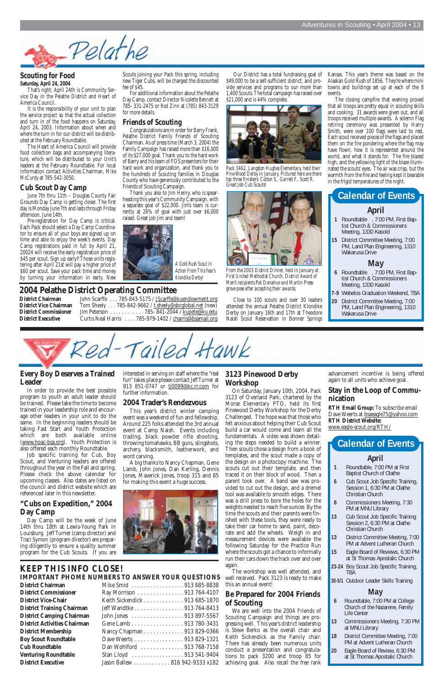#### **Scouting for Food Saturday, April 24, 2004**

That's right; April 24th is Community Service Day in the Pelathe District and Heart of America Council.

It is the responsibility of your unit to plan the service project so that the actual collection and turn in of the food happens on Saturday, April 24, 2003. Information about when and where the turn in for our district will be distributed at the February Roundtable.

The Heart of America Council will provide food collection bags and accompanying literature, which will be distributed to your Unit's leaders at the February Roundtable. For local information contact Activities Chairman, *Mike McCurdy* at 785-542-3050.

#### **Cub Scout Day Camp**

June 7th thru 11th – Douglas County Fair Grounds Day Camp is getting closer. The first day is Monday June 7th and lasts through Friday afternoon, June 14th.

Pre-registration for Day Camp is critical. Each Pack should select a Day Camp Coordinator to ensure all of your boys are signed up on time and able to enjoy the week's events. Day Camp registrations paid in full by April 21, 20024 will receive the early registration price of \$45 per scout. Sign up early!! Those units registering after April 21st will pay a higher price of \$60 per scout. Save your pack time and money by turning your information in early. New



Scouts joining your Pack this spring, including new Tiger Cubs, will be charged the discounted fee of \$45.

For additional information about the Pelathe Day Camp, contact Director *Nicolette Bennett* at 785- 331-2475 or *Rod Zinn* at (785) 843-3129 for more details.

#### **Friends of Scouting**

Congratulations are in order for Barry Frank, Pelathe District Family Friends of Scouting Chairman. As of press time (March 3, 2004) the Family Campaign has raised more than \$16,000 of its \$27,000 goal. Thank you to the hard work of Barry and his team of FOS presenters for their hard work and organization, and thank you to the hundreds of Scouting families in Douglas County who have generously contributed to the Friends of Scouting Campaign.

Thank you also to Jim Henry, who is spearheading this year's Community Campaign, with a separate goal of \$22,000. Jim's team is currently at 26% of goal with just over \$6,000 raised. Great job Jim and team!

Our District has a total fundraising goal of \$49,000 to be a self-sufficient district, and provide services and programs to our more than 1,400 Scouts. The total campaign has raised over \$21,000 and is 44% complete.



*Pack 3462, Langston Hughes Elementary, held their Pine Wood Derby in January. Pictured here are there top three finishers: Colton S., Garrett F., Scott R. Great Job Cub Scouts!*



*From the 2003 District Dinner, held in January at First United Methodist Church, District Award of Merit recipients Pat Donahue and Martin Pressgrove pose after accepting their awards.* 

Close to 100 scouts and over 30 leaders attended the annual Pelathe District Klondike Derby on January 16th and 17th at Theodore Naish Scout Reservation in Bonner Springs

#### **Every Boy Deserves a Trained Leader**

In order to provide the best possible program to youth an adult leader should be trained. Please take the time to become trained in your leadership role and encourage other leaders in your unit to do the same. In the beginning leaders should be taking Fast Start and Youth Protection which are both available online (www.hoac-bsa.org). Youth Protection is also offered each monthly Roundtable.

Job specific training for Cub, Boy Scout, and Venturing leaders are offered throughout the year in the Fall and spring. Please check the above calendar for upcoming classes. Also dates are listed on the council and district website which are referenced later in this newsletter.

# **"Cubs on Expedition," 2004**

# **Day Camp**

Day Camp will be the week of June 14th thru 18th at Lewis-Young Park in Louisburg. Jeff Turner (camp director) and Traci Symon (program director) are preparing diligently to ensure a quality summer program for the Cub Scouts. If you are

interested in serving on staff where the "real fun" takes place please contact *Jeff Turner* at 913 851-0747 or tj0099@kc.rr.com for further information.

#### **2004 Trader's Rendezvous**

This year's district winter camping event was a weekend of fun and fellowship. Around 225 folks attended the 3rd annual event at Camp Naish. Events including trading, black powder rifle shooting, throwing tomahawks, BB guns, slingshots, archery, blacksmith, leatherwork, and word carving.

A big thanks to Nancy Chapman, Gene Lamb, John Jones, Dan Kerling, Dennis Jones, Maverick Jones, troop 315 and 85 for making this event a huge success.



#### **3123 Pinewood Derby Workshop**

On Saturday, January 10th, 2004, Pack 3123 of Overland Park, chartered by the Morse Elementary PTO, held its first Pinewood Derby Workshop for the Derby Challenged. The hope was that those who felt anxious about helping their Cub Scout build a car would come and learn all the fundamentals. A video was shown detailing the steps needed to build a winner. Then scouts chose a design from a book of templates, and the scout made a copy of the design on a photocopy machine. The scouts cut out their template, and then traced it on their block of wood. Then a parent took over. A band saw was provided to cut out the design, and a dremel tool was available to smooth edges. There was a drill press to bore the holes for the weights needed to reach five ounces By the time the scouts and their parents were finished with these tools, they were ready to take their car home to sand, paint, decorate and add the wheels. Weigh in and measurement devices were available the following Saturday for the Practice Run where the scouts got a chance to informally run their cars down the track over and over again. The workshop was well attended, and well received. Pack 3123 is ready to make this an annual event!

#### **Be Prepared for 2004 Friends of Scouting**

We are well into the 2004 Friends of Scouting Campaign and things are progressing well. This year's district leadership is Steve Berko as the overall chair and Keith Sickendick as the Family chair. There has already been numerous units conduct a presentation and congratulations to pack 3200 and troop 85 for achieving goal. Also recall the free rank

advancement incentive is being offered again to all units who achieve goal.

#### **Stay in the Loop of Communication**

**RTH Email Group:** To subscribe email Dave Weerts at bsaeagle75@yahoo.com **RTH District Website:** www.eagle-scout.org/RTH/

## **KEEP THIS INFO CLOSE! IMPORTANT PHOME NUMBERS TO ANSWER YOUR QUESTIONS**

**District Chairman District Commissioner District Vice-Chair District Training Chairman District Camping Chairman District Activities Chairman District Membership Boy Scout Roundtable Cub Roundtable Venturing Roundtable District Executive** 

| Mike Smid   913 685-8838       |
|--------------------------------|
| Ray Morrison 913 764-4107      |
| Keith Sickendick 913 685-1870  |
| Jeff Wandtke 913 764-8413      |
| John Jones 913 897-5567        |
| Gene Lamb 913 780-3431         |
| Nancy Chapman 913 829-0366     |
| Dave Weerts 913 829-1321       |
| Dan Wohlford  913 768-7158     |
| Stan Lloyd 913 541-9404        |
| Jason Ballew 816 942-9333 x182 |

#### **2004 Pelathe District Operating Committee**

**District Chairman** John Scarffe . . . 785-843-5175 / <u>JScarffe@kuendowment.org</u><br>**District Vice Chairman** Tom Sheely . . . 785-842-9662 / t.sheely@sbcglobal.net (new) Tom Sheely . . . 785-842-9662 / t.sheely@sbcglobal.net (new) **District Commissioner** Jim Peterson . . . . . . . . . . . . 785-841-2044 / kupete@ku.edu<br> **District Executive** Curtis Neal Harris . . . . 785-979-1402 / charris@bsamail.org Curtis Neal Harris . . . . 785-979-1402 / charris@bsamail.org

#### **April**

- **1** Roundtable , 7:00 PM, First Baptist Church & Commissioners Meeting, 1330 Kasold
- **15** District Committee Meeting, 7:00 PM, Land Plan Engineering, 1310 Wakarusa Drive

#### **May**

- **6** Roundtable , 7:00 PM, First Baptist Church & Commissioners Meeting, 1330 Kasold
- **7-9** Webelos Graduation Weekend, TBA
- **20** District Committee Meeting, 7:00 PM, Land Plan Engineering, 1310 Wakarusa Drive



# **Calendar of Events**

#### **April**

- **1** Roundtable, 7:00 PM at First Baptist Church of Olathe
- **6** Cub Scout Job Specific Training, Session 1, 6:30 PM at Olathe Christian Church
- **8** Commissioners Meeting, 7:30
- PM at MNU Library
- **13** Cub Scout Job Specific Training Session 2, 6:30 PM at Olathe Christian Church
- **13** District Committee Meeting, 7:00 PM at Advent Lutheran Church
- **15** Eagle Board of Reviews, 6:30 PM at St Thomas Apostalic Church
- **23-24** Boy Scout Job Specific Training, TBA

**30-5/1** Outdoor Leader Skills Training

# **May**

- **6** Roundtable, 7:00 PM at College Church of the Nazarene, Family Life Center
- **13** Commissioners Meeting, 7:30 PM at MNU Library
- **18** District Committee Meeting, 7:00 PM at Advent Lutheran Church
- **20** Eagle Board of Review, 6:30 PM at St Thomas Apostalic Church

# **Calendar of Events**

Kansas. This year's theme was based on the Alaskan Gold Rush of 1856. They're where mini towns and buildings set up at each of the 8 events.

The closing campfire that evening proved that all troops are pretty equal in scouting skills and cooking. 31 awards were given out, and all troops received multiple awards. A solemn Flag retiring ceremony was presented by Harry Smith, were over 100 flags were laid to rest. Each scout received pieces of the flags and placed them on the fire pondering where the flag may have flown, how it is represented around the world, and what it stands for. The fire blazed high, and the yellowing light of the blaze illuminated the scouts' eyes. The air was crisp, but the warmth from the fire and feeling kept it bearable in the frigid temperatures of the night.

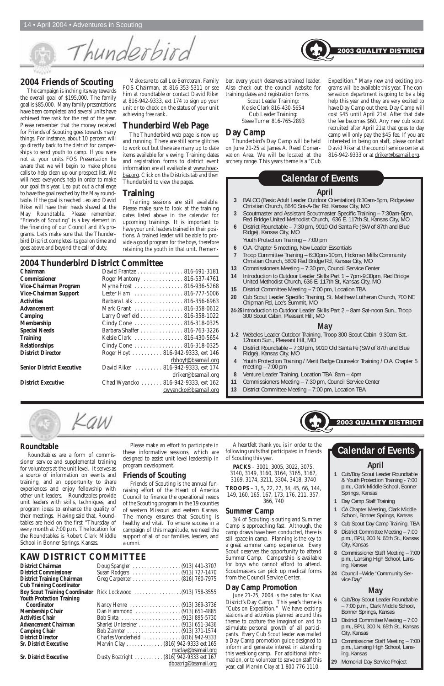

7102011

The campaign is inching its way towards the overall goal of \$195,000. The family goal is \$85,000. Many family presentations have been completed and several units have achieved free rank for the rest of the year. Please remember that the money received for Friends of Scouting goes towards many things. For instance, about 10 percent will go directly back to the district for camperships to send youth to camp. If you were not at your units FOS Presentation be aware that we will begin to make phone calls to help clean up our prospect list. We will need everyone's help in order to make our goal this year. Leo put out a challenge to have the goal reached by the May roundtable. If the goal is reached Leo and David Riker will have their heads shaved at the May Roundtable. Please remember, "Friends of Scouting" is a key element in the financing of our Council and it's programs. Let's make sure that the Thunderbird District completes its goal on time and goes above and beyond the call of duty.

Make sure to call *Leo Berroteran*, Family FOS Chairman, at 816-353-5311 or see him at roundtable or contact *David Riker* at 816-942-9333, ext 174 to sign up your unit or to check on the status of your unit achieving free rank.

## **Thunderbird Web Page**

The Thunderbird web page is now up and running. There are still some glitches to work out but there are many up to date items available for viewing. Training dates and registration forms to district event information are all available at www.hoacbsa.org. Click on the Districts tab and then Thunderbird to view the pages.

#### **Training**

Training sessions are still available. Please make sure to look at the training dates listed above in the calendar for upcoming trainings. It is important to have your unit leaders trained in their positions. A trained leader will be able to provide a good program for the boys, therefore retaining the youth in that unit. Remember, every youth deserves a trained leader. Also check out the council website for training dates and registration forms.

> Scout Leader Training: Kelsie Clark 816-430-5654 Cub Leader Training: Steve Turner 816-765-2893

## **Day Camp**

Thunderbird's Day Camp will be held on June 21-25 at James A. Reed Conservation Area. We will be located at the archery range. This years theme is a "Cub

Expedition." Many new and exciting programs will be available this year. The conservation department is going to be a big help this year and they are very excited to have Day Camp out there. Day Camp will cost \$45 until April 21st. After that date the fee becomes \$60. Any new cub scout recruited after April 21st that goes to day camp will only pay the \$45 fee. If you are interested in being on staff, please contact *David Riker* at the council service center at 816-942-9333 or at driker@bsamail.org.

## **2004 Thunderbird District Committee**

| Chairman                         | David Frantze 816-691-3181          |
|----------------------------------|-------------------------------------|
| <b>Commissioner</b>              | Roger Mantony  816-537-4761         |
| Vice-Chairman Program            | Myrna Frost 816-936-5268            |
| Vice-Chairman Support            | Lester Ham 816-777-5006             |
| <b>Activities</b>                | Barbara Lalk 816-356-6963           |
| <b>Advancement</b>               | Mark Grant  816-358-0612            |
| <b>Camping</b>                   | Larry Overfield 816-358-1022        |
| <b>Membership</b>                | Cindy Cone 816-318-0325             |
| <b>Special Needs</b>             | Barbara Shaffer 816-763-3226        |
| <b>Training</b>                  | Kelsie Clark  816-430-5654          |
| <b>Relationships</b>             | Cindy Cone 816-318-0325             |
| <b>District Director</b>         | Roger Hoyt 816-942-9333, ext 146    |
|                                  | rbhoyt@bsamail.org                  |
| <b>Senior District Executive</b> | David Riker 816-942-9333, ext 174   |
|                                  | driker@bsamail.org                  |
| <b>District Executive</b>        | Chad Wyancko  816-942-9333, ext 162 |
|                                  | cwyancko@bsamail.org                |

14 • April 2004 • Adventures in Scouting

Thunderbird

**Boy Scout Training Coordinator** Rick Lockwood . . . . . . . . . . . . . . . . .(913) 758-3555

| Dan Hammond  (913) 651-4885             |                      |  |
|-----------------------------------------|----------------------|--|
|                                         |                      |  |
|                                         |                      |  |
|                                         |                      |  |
| Charles Vonderheid  (816) 942-9333      |                      |  |
| Marvin Clay (816) 942-9333 ext 165      |                      |  |
|                                         | maclay@bsamail.org   |  |
| Dusty Boatright  (816) 942-9333 ext 167 |                      |  |
|                                         | dboatrig@bsamail.org |  |
|                                         |                      |  |

#### **April**

- **3** BALOO (Basic Adult Leader Outdoor Orientation) 8:30am-5pm, Ridgeview Christian Church, 8640 Sni-A-Bar Rd, Kansas City, MO
- **3** Scoutmaster and Assistant Scoutmaster Specific Training 7:30am-5pm, Red Bridge United Methodist Church, 636 E. 117th St, Kansas City, MO
- **6** District Roundtable 7:30 pm, 9010 Old Santa Fe (SW of 87th and Blue Ridge), Kansas City, MO
	- Youth Protection Training 7:00 pm
- **6** O.A. Chapter 5 meeting, New Leader Essentials
- **7** Troop Committee Training 6:30pm-10pm, Hickman Mills Community Christian Church, 5809 Red Bridge Rd, Kansas City, MO
- **13** Commissioners Meeting 7:30 pm, Council Service Center
- **14** Introduction to Outdoor Leader Skills Part 1 7pm-9:30pm, Red Bridge United Methodist Church, 636 E. 117th St, Kansas City, MO
- **15** District Committee Meeting 7:00 pm, Location TBA
- **20** Cub Scout Leader Specific Training, St. Matthew Lutheran Church, 700 NE Chipman Rd, Lee's Summit, MO
- **24-25**Introduction to Outdoor Leader Skills Part 2 8am Sat-noon Sun., Troop 300 Scout Cabin, Pleasant Hill, MO

#### **May**

- **1-2** Webelos Leader Outdoor Training, Troop 300 Scout Cabin 9:30am Sat.- 12noon Sun., Pleasant Hill, MO
- **4** District Roundtable 7:30 pm, 9010 Old Santa Fe (SW of 87th and Blue Ridge), Kansas City, MO
- **4** Youth Protection Training / Merit Badge Counselor Training / O.A. Chapter 5 meeting – 7:00 pm
- **8** Venture Leader Training, Location TBA 8am 4pm
- **11** Commissioners Meeting 7:30 pm, Council Service Center
- **13** District Committee Meeting 7:00 pm, Location TBA



# **Calendar of Events**

#### **Roundtable**

Roundtables are a form of commissioner service and supplemental training for volunteers at the unit level. It serves as a source of information on events and training, and an opportunity to share experiences and enjoy fellowship with other unit leaders. Roundtables provide unit leaders with skills, techniques, and program ideas to enhance the quality of their meetings. Having said that, Roundtables are held on the first "Thursday of every month at 7:00 p.m. The location for the Roundtables is Robert Clark Middle School in Bonner Springs, Kansas.

Please make an effort to participate in these informative sessions, which are designed to assist unit level leadership in program development.

#### **Friends of Scouting**

Friends of Scouting is the annual funraising effort of the Heart of America Council to finance the operational needs of the Scouting program in the 19 counties of western Missouri and eastern Kansas. The money ensures that Scouting is healthy and vital. To ensure success in a campaign of this magnitude, we need the support of all of our families, leaders, and alumni.

A heartfelt thank you is in order to the following units that participated in Friends of Scouting this year.

**PACKS** – 3001, 3005, 3022, 3075, 3140, 3149, 3160, 3164, 3165, 3167, 3169, 3174, 3211, 3304, 3418, 3740

**TROOPS** – 1, 5, 22, 27, 34, 45, 66, 144, 149, 160, 165, 167, 173, 176, 211, 357, 366, 740

# **Summer Camp**

3/4 of Scouting is outing and Summer Camp is approaching fast. Although, the camp draws have been conducted, there is still space in camp. Planning is the key to a great summer camp experience. Every Scout deserves the opportunity to attend Summer Camp. Campership is available for boys who cannot afford to attend. Scoutmasters can pick up medical forms from the Council Service Center.

## **Day Camp Promotion**

June 21-25, 2004 is the dates for Kaw District's Day Camp. This year's theme is "Cubs on Expedition." We have exciting stations and activities planned around this theme to capture the imagination and to stimulate personal growth of all participants. Every Cub Scout leader was mailed a Day Camp promotion guide designed to inform and generate interest in attending this weeklong camp. For additional information, or to volunteer to serve on staff this year, call *Marvin Clay* at 1-800-776-1110.

- **1** Cub/Boy Scout Leader Roundtable & Youth Protection Training - 7:00 p.m., Clark Middle School, Bonner Springs, Kansas
- **1** Day Camp Staff Training



# **KAW DISTRICT COMMITTEE**<br>District Chairman<br>Doug Spangler

**District Chairman** D<br> **District Commissioner** Su **District Commissioner** 51<br>**District Training Chairman** G **District Training Chairman Cub Training Coordinator Youth Protection Training**  Coordinator **Membership Chair Activities Chair Advancement Chairman Camping Chair** . **District Director Sr. District Executive** 

**Sr. District Executive** 

| oug Spangler  (913) 441-3707 |  |  |  |  |  |  |  |  |  |  |  |
|------------------------------|--|--|--|--|--|--|--|--|--|--|--|
| usan Rodgers  (913) 727-1470 |  |  |  |  |  |  |  |  |  |  |  |
| reg Carpenter (816) 760-7975 |  |  |  |  |  |  |  |  |  |  |  |
|                              |  |  |  |  |  |  |  |  |  |  |  |

**1** OA Chapter Meeting, Clark Middle School, Bonner Springs, Kansas

- **3** Cub Scout Day Camp Training, TBA
- **8** District Committee Meeting 7:00 p.m., BPU, 300 N. 65th St., Kansas City, Kansas
- **8** Commissioner Staff Meeting 7:00 p.m., Lansing High School, Lansing, Kansas
- **24** Council –Wide "Community Service Day"

# **April Calendar of Events**

2003 QUALITY DISTRIC1

# **May**

- **6** Cub/Boy Scout Leader Roundtable – 7:00 p.m., Clark Middle School, Bonner Springs, Kansas
- **13** District Committee Meeting 7:00 p.m., BPU, 300 N. 65th St., Kansas City, Kansas
- **13** Commissioner Staff Meeting 7:00 p.m., Lansing High School, Lansing, Kansas
- **29** Memorial Day Service Project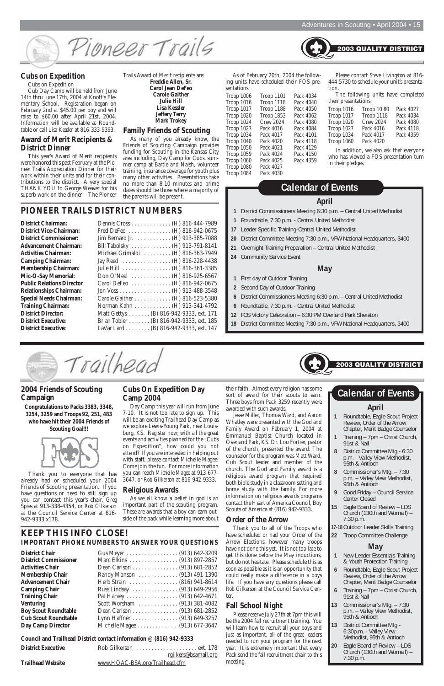

#### **Cubs on Expedition**

Cubs on Expedition

Cub Day Camp will be held from June 14th thru June 17th, 2004 at Knott's Elementary School. Registration began on February 2nd at \$45.00 per boy and will raise to \$60.00 after April 21st, 2004. Information will be available at Roundtable or call *Lisa Kessler* at 816-333-9393.

#### **Award of Merit Recipients & District Dinner**

This year's Award of Merit recipients were honored this past February at the Pioneer Trails Appreciation Dinner for their work within their units and for their contributions to the district. A very special THANK YOU to George Weaver for his superb work on the dinner! The Pioneer

Trails Award of Merit recipients are: **Freddie Allen, Sr. Carol Jean DeFeo Carole Gaither Julie Hill Lisa Kessler Jeffery Terry Mark Trokey**

As of February 20th, 2004 the following units have scheduled their FOS presentations<sup>.</sup>

#### **Family Friends of Scouting**

As many of you already know, the Friends of Scouting Campaign provides funding for Scouting in the Kansas City area including, Day Camp for Cubs, summer camp at Bartle and Naish, volunteer training, insurance coverage for youth plus many other activities. Presentations take no more than 8-10 minutes and prime dates should be those where a majority of the parents will be present.

| ,,,,,,,,,,,,,,,,  |                   |           |
|-------------------|-------------------|-----------|
| Troop 1006        | Trop 1101         | Pack 4034 |
| Troop 1016        | Troop 1118        | Pack 4040 |
| Troop 1017        | Troop 1188        | Pack 4050 |
| <b>Troop 1020</b> | <b>Troop 1853</b> | Pack 4062 |
| <b>Troop 1024</b> | <b>Crew 2024</b>  | Pack 4080 |
| <b>Troop 1027</b> | Pack 4016         | Pack 4084 |
| Troop 1034        | Pack 4017         | Pack 4101 |
| Troop 1040        | Pack 4020         | Pack 4118 |
| Troop 1050        | Pack 4021         | Pack 4129 |
| Troop 1059        | Pack 4024         | Pack 4150 |
| Troop 1060        | Pack 4025         | Pack 4359 |
| Troop 1080        | Pack 4027         |           |
| Troop 1084        | Pack 4030         |           |
|                   |                   |           |

Please contact *Steve Livingston* at 816- 444-5730 to schedule your unit's presentation.

2003 QUALITY DISTRI

The following units have completed their presentations:

In addition, we also ask that everyone who has viewed a FOS presentation turn in their pledges.

## **PIONEER TRAILS DISTRICT NUMBERS**

| <b>District Chairman:</b>        |
|----------------------------------|
| <b>District Vice-Chairman:</b>   |
| <b>District Commissioner:</b>    |
| <b>Advancement Chairman:</b>     |
| <b>Activities Chairman:</b>      |
| <b>Camping Chairman:</b>         |
| <b>Membership Chairman:</b>      |
| Mic-O-Say Memorial:              |
| <b>Public Relations Director</b> |
| <b>Relationships Chairman:</b>   |
| <b>Special Needs Chairman:</b>   |
| <b>Training Chairman:</b>        |
| <b>District Director:</b>        |
| <b>District Executive:</b>       |
| <b>District Executive:</b>       |
|                                  |

**District Chairman:** Dennis Cross . . . . . . . . . . . . . (H) 816-444-7989

| <b>District Vice-Chairman:</b>   | Fred DeFeo (H) 816-942-0675             |
|----------------------------------|-----------------------------------------|
| <b>District Commissioner:</b>    | Jim Bernard Jr. (H) 913-385-7088        |
| <b>Advancement Chairman:</b>     | Bill Tabolsky (H) 913-791-8141          |
| <b>Activities Chairman:</b>      | Michael Grimaldi (H) 816-363-7949       |
| <b>Camping Chairman:</b>         | Jay Reed (H) 816-228-4438               |
| <b>Membership Chairman:</b>      | Julie Hill (H) 816-361-3385             |
| Mic-O-Say Memorial:              | Don O'Neal  (H) 816-925-6567            |
| <b>Public Relations Director</b> | Carol DeFeo  (H) 816-942-0675           |
| <b>Relationships Chairman:</b>   |                                         |
| <b>Special Needs Chairman:</b>   | Carole Gaither (H) 816-523-5380         |
| <b>Training Chairman:</b>        | Norman Kahn (H) 913-341-4792            |
| <b>District Director:</b>        | Matt Gettys (B) 816-942-9333, ext. 171  |
| <b>District Executive:</b>       | Brian Tobler (B) 816-942-9333, ext. 185 |
| <b>District Executive:</b>       | LaVar Lard (B) 816-942-9333, ext. 147   |
|                                  |                                         |

#### **2004 Friends of Scouting Campaign**

**Congratulations to Packs 3383, 3348, 3254, 3259 and Troops 92, 251, 483 who have hit their 2004 Friends of Scouting Goal!!!**



Thank you to everyone that has already had or scheduled your 2004 Friends of Scouting presentation. If you have questions or need to still sign up you can contact this year's chair, *Greg Spies* at 913-338-4354, or *Rob Gilkerson* at the Council Service Center at 816- 942-9333 x178.

#### **Cubs On Expedition Day Camp 2004**

Day Camp this year will run from June 7-10. It is not too late to sign up. This will be an exciting Trailhead Day Camp as we explore Lewis-Young Park, near Louisburg, KS. Register now; with all the great events and activities planned for the "Cubs on Expedition", how could you not attend? If you are interested in helping out with staff, please contact Michelle Magee. Come join the fun. For more information you can reach *Michelle Magee* at 913-677- 3647, or *Rob Gilkerson* at 816-942-9333.

#### **Religious Awards**

As we all know a belief in god is an important part of the scouting program. These are awards that a boy can earn outside of the pack while learning more about their faith. Almost every religion has some sort of award for their scouts to earn. Three boys from Pack 3259 recently were awarded with such awards.

Jesse Miller, Thomas Ward, and Aaron Whatley were presented with the God and Family Award on February 1, 2004 at Emmanuel Baptist Church located in Overland Park, KS. Dr. Lou Fortier, pastor of the church, presented the award. The counselor for the program was Matt Ward, Cub Scout leader and member of the church. The God and Family award is a religious award program that required both bible study in a classroom setting and home study with the family. For more information on religious awards programs contact the Heart of America Council, Boy

Scouts of America at (816) 942-9333.

#### **Order of the Arrow**

Thank you to all of the Troops who have scheduled or had your Order of the Arrow Elections, however many troops have not done this yet. It is not too late to get this done before the May inductions, but do not hesitate. Please schedule this as soon as possible as it is an opportunity that could really make a difference in a boys life. If you have any questions please call *Rob Gilkerson* at the Council Service Center.

# **Fall School Night**

Please reserve July 27th at 7pm this will be the 2004 fall recruitment training. You will learn how to recruit all your boys and just as important, all of the great leaders needed to run your program for the next year. It is extremely important that every Pack send the fall recruitment chair to this meeting.

## **KEEP THIS INFO CLOSE! IMPORTANT PHONE NUMBERS TO ANSWER YOUR QUESTIONS**

**District Chair District Commissioner Activities Chair Membership Chair Advancement Chair Camping Chair Training Chair**  $$ **Boy Scout Roundtable Cub Scout Roundtable Day Camp Director** 

| Gus Meyer (913) 642-3209      |
|-------------------------------|
| Marc Elkins (913) 897-2857    |
| Dean Carlson (913) 681-2852   |
| Randy Monson  (913) 491-1390  |
| Herb Strain (816) 941-8614    |
| Russ Lindsay  (913) 649-2956  |
|                               |
| Scott Worsham  (913) 381-4082 |
| Dean Carlson (913) 681-2852   |
| Lynn Haffner (913) 649-3257   |
|                               |

#### **Council and Trailhead District contact information @ (816) 942-9333**

| <b>District Executive</b> | $Rob$ Gilkerson $\ldots \ldots \ldots \ldots \ldots$ ext. 178 |
|---------------------------|---------------------------------------------------------------|
|                           | rgilkers@bsamail.org                                          |
| Tuellood Wabetto          | $\frac{1}{2}$                                                 |

**Trailhead Website** www.HOAC-BSA.org/Trailhead.cfm

#### **April**

- **1** Roundtable, Eagle Scout Project Review, Order of the Arrow Chapter, Merit Badge Counselor
- **1** Training 7pm Christ Church, 91st & Nall
- **8** District Committee Mtg 6:30 p.m. - Valley View Methodist, 95th & Antioch
- **8** Commissioner's Mtg. 7:30 p.m. – Valley View Methodist, 95th & Antioch
- **9** Good Friday Council Service Center Closed

- **15** Eagle Board of Review LDS Church (130th and Wornall) – 7:30 p.m.
- **17-18**Outdoor Leader Skills Training
- **22** Troop Committee Challenge

# **May**

- **1** New Leader Essentials Training & Youth Protection Training
- **6** Roundtable, Eagle Scout Project Review, Order of the Arrow Chapter, Merit Badge Counselor
- **6** Training 7pm Christ Church, 91st & Nall
- **13** Commissioner's Mtg. 7:30 p.m. – Valley View Methodist, 95th & Antioch
- **13** District Committee Mtg 6:30p.m. - Valley View Methodist, 95th & Antioch
- **20** Eagle Board of Review LDS Church (130th and Wornall) – 7:30 p.m.

# **Calendar of Events**

#### **April**

- **1** District Commissioners Meeting 6:30 p.m. Central United Methodist
- **1** Roundtable, 7:30 p.m. Central United Methodist
- **17** Leader Specific Training-Central United Methodist
- **20** District Committee Meeting 7:30 p.m., VFW National Headquarters, 3400
- **21** Overnight Training Preparation Central United Methodist
- **24** Community Service Event

#### **May**

- **1** First day of Outdoor Training
- **2** Second Day of Outdoor Training
- **6** District Commissioners Meeting 6:30 p.m. Central United Methodist
- **6** Roundtable, 7:30 p.m. Central United Methodist
- **12** FOS Victory Celebration 6:30 PM Overland Park Sheraton
- **18** District Committee Meeting 7:30 p.m., VFW National Headquarters, 3400

Trailhead

# **Calendar of Events**

| Troop 1016        | <b>Troop 10 80</b> | Pack 4027 |
|-------------------|--------------------|-----------|
| <b>Troop 1017</b> | <b>Troop 1118</b>  | Pack 4034 |
| <b>Troop 1020</b> | <b>Crew 2024</b>   | Pack 4080 |
| <b>Troop 1027</b> | Pack 4016          | Pack 4118 |
| <b>Troop 1034</b> | Pack 4017          | Pack 4359 |
| Troop 1060        | Pack 4020          |           |
|                   |                    |           |